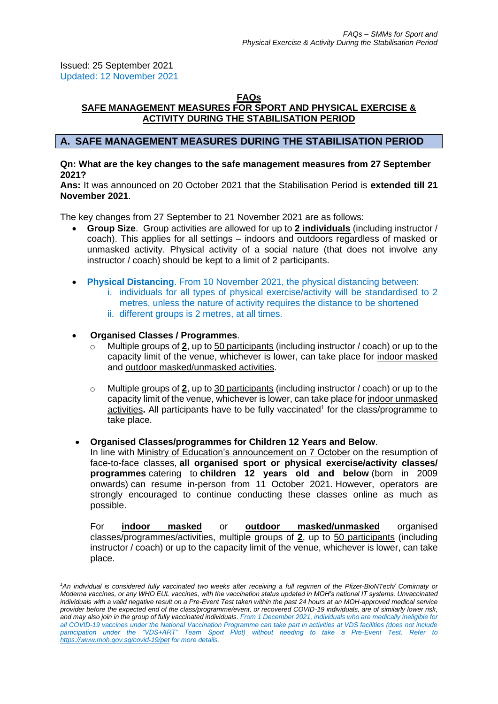Issued: 25 September 2021 Updated: 12 November 2021

# **FAQs**

# **SAFE MANAGEMENT MEASURES FOR SPORT AND PHYSICAL EXERCISE & ACTIVITY DURING THE STABILISATION PERIOD**

# **A. SAFE MANAGEMENT MEASURES DURING THE STABILISATION PERIOD**

## **Qn: What are the key changes to the safe management measures from 27 September 2021?**

**Ans:** It was announced on 20 October 2021 that the Stabilisation Period is **extended till 21 November 2021**.

The key changes from 27 September to 21 November 2021 are as follows:

- **Group Size**. Group activities are allowed for up to **2 individuals** (including instructor / coach). This applies for all settings – indoors and outdoors regardless of masked or unmasked activity. Physical activity of a social nature (that does not involve any instructor / coach) should be kept to a limit of 2 participants.
- **Physical Distancing**. From 10 November 2021, the physical distancing between:
	- i. individuals for all types of physical exercise/activity will be standardised to 2 metres, unless the nature of activity requires the distance to be shortened
	- ii. different groups is 2 metres, at all times.

# • **Organised Classes / Programmes**.

- Multiple groups of 2, up to 50 participants (including instructor / coach) or up to the capacity limit of the venue, whichever is lower, can take place for indoor masked and outdoor masked/unmasked activities.
- o Multiple groups of **2**, up to 30 participants (including instructor / coach) or up to the capacity limit of the venue, whichever is lower, can take place for indoor unmasked activities. All participants have to be fully vaccinated<sup>1</sup> for the class/programme to take place.

## • **Organised Classes/programmes for Children 12 Years and Below**.

In line with [Ministry of Education's announcement on 7 October](https://www.moe.gov.sg/news/press-releases/20211007-phased-resumption-of-face-to-face-lessons-for-primary-schools-from-11-october) on the resumption of face-to-face classes, **all organised sport or physical exercise/activity classes/ programmes** catering to **children 12 years old and below** (born in 2009 onwards) can resume in-person from 11 October 2021. However, operators are strongly encouraged to continue conducting these classes online as much as possible.

For **indoor masked** or **outdoor masked/unmasked** organised classes/programmes/activities, multiple groups of **2**, up to 50 participants (including instructor / coach) or up to the capacity limit of the venue, whichever is lower, can take place.

*<sup>1</sup>An individual is considered fully vaccinated two weeks after receiving a full regimen of the Pfizer-BioNTech/ Comirnaty or Moderna vaccines, or any WHO EUL vaccines, with the vaccination status updated in MOH's national IT systems. Unvaccinated individuals with a valid negative result on a Pre-Event Test taken within the past 24 hours at an MOH-approved medical service provider before the expected end of the class/programme/event, or recovered COVID-19 individuals, are of similarly lower risk, and may also join in the group of fully vaccinated individuals. From 1 December 2021, individuals who are medically ineligible for all COVID-19 vaccines under the National Vaccination Programme can take part in activities at VDS facilities (does not include participation under the "VDS+ART" Team Sport Pilot) without needing to take a Pre-Event Test. Refer to <https://www.moh.gov.sg/covid-19/pet> for more details.*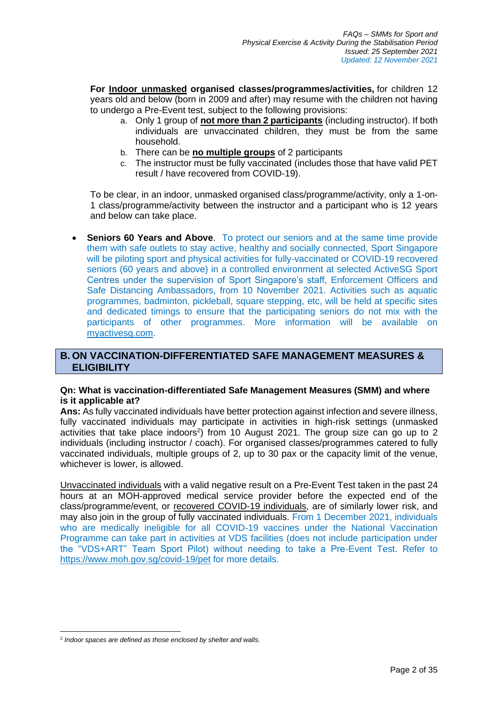**For Indoor unmasked organised classes/programmes/activities,** for children 12 years old and below (born in 2009 and after) may resume with the children not having to undergo a Pre-Event test, subject to the following provisions:

- a. Only 1 group of **not more than 2 participants** (including instructor). If both individuals are unvaccinated children, they must be from the same household.
- b. There can be **no multiple groups** of 2 participants
- c. The instructor must be fully vaccinated (includes those that have valid PET result / have recovered from COVID-19).

To be clear, in an indoor, unmasked organised class/programme/activity, only a 1-on-1 class/programme/activity between the instructor and a participant who is 12 years and below can take place.

**Seniors 60 Years and Above**. To protect our seniors and at the same time provide them with safe outlets to stay active, healthy and socially connected, Sport Singapore will be piloting sport and physical activities for fully-vaccinated or COVID-19 recovered seniors (60 years and above) in a controlled environment at selected ActiveSG Sport Centres under the supervision of Sport Singapore's staff, Enforcement Officers and Safe Distancing Ambassadors, from 10 November 2021. Activities such as aquatic programmes, badminton, pickleball, square stepping, etc, will be held at specific sites and dedicated timings to ensure that the participating seniors do not mix with the participants of other programmes. More information will be available on [myactivesg.com.](https://www.myactivesg.com/)

# **B. ON VACCINATION-DIFFERENTIATED SAFE MANAGEMENT MEASURES & ELIGIBILITY**

## **Qn: What is vaccination-differentiated Safe Management Measures (SMM) and where is it applicable at?**

**Ans:** As fully vaccinated individuals have better protection against infection and severe illness, fully vaccinated individuals may participate in activities in high-risk settings (unmasked activities that take place indoors<sup>2</sup>) from 10 August 2021. The group size can go up to 2 individuals (including instructor / coach). For organised classes/programmes catered to fully vaccinated individuals, multiple groups of 2, up to 30 pax or the capacity limit of the venue, whichever is lower, is allowed.

Unvaccinated individuals with a valid negative result on a Pre-Event Test taken in the past 24 hours at an MOH-approved medical service provider before the expected end of the class/programme/event, or recovered COVID-19 individuals, are of similarly lower risk, and may also join in the group of fully vaccinated individuals. From 1 December 2021, individuals who are medically ineligible for all COVID-19 vaccines under the National Vaccination Programme can take part in activities at VDS facilities (does not include participation under the "VDS+ART" Team Sport Pilot) without needing to take a Pre-Event Test. Refer to <https://www.moh.gov.sg/covid-19/pet> for more details.

<sup>2</sup> *Indoor spaces are defined as those enclosed by shelter and walls.*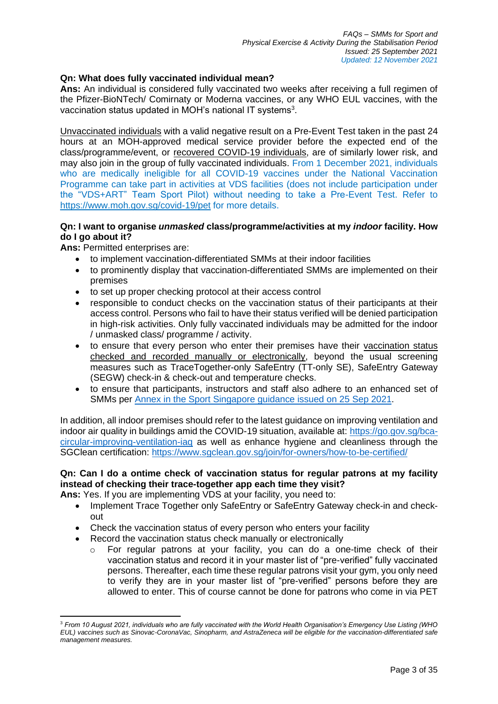# **Qn: What does fully vaccinated individual mean?**

**Ans:** An individual is considered fully vaccinated two weeks after receiving a full regimen of the Pfizer-BioNTech/ Comirnaty or Moderna vaccines, or any WHO EUL vaccines, with the vaccination status updated in MOH's national IT systems<sup>3</sup>.

Unvaccinated individuals with a valid negative result on a Pre-Event Test taken in the past 24 hours at an MOH-approved medical service provider before the expected end of the class/programme/event, or recovered COVID-19 individuals, are of similarly lower risk, and may also join in the group of fully vaccinated individuals. From 1 December 2021, individuals who are medically ineligible for all COVID-19 vaccines under the National Vaccination Programme can take part in activities at VDS facilities (does not include participation under the "VDS+ART" Team Sport Pilot) without needing to take a Pre-Event Test. Refer to <https://www.moh.gov.sg/covid-19/pet> for more details.

# **Qn: I want to organise** *unmasked* **class/programme/activities at my** *indoor* **facility. How do I go about it?**

**Ans:** Permitted enterprises are:

- to implement vaccination-differentiated SMMs at their indoor facilities
- to prominently display that vaccination-differentiated SMMs are implemented on their premises
- to set up proper checking protocol at their access control
- responsible to conduct checks on the vaccination status of their participants at their access control. Persons who fail to have their status verified will be denied participation in high-risk activities. Only fully vaccinated individuals may be admitted for the indoor / unmasked class/ programme / activity.
- to ensure that every person who enter their premises have their vaccination status checked and recorded manually or electronically, beyond the usual screening measures such as TraceTogether-only SafeEntry (TT-only SE), SafeEntry Gateway (SEGW) check-in & check-out and temperature checks.
- to ensure that participants, instructors and staff also adhere to an enhanced set of SMMs per [Annex in the Sport Singapore guidance issued on](https://www.sportsingapore.gov.sg/Newsroom/Media-Releases) 25 Sep 2021.

In addition, all indoor premises should refer to the latest guidance on improving ventilation and indoor air quality in buildings amid the COVID-19 situation, available at: [https://go.gov.sg/bca](https://go.gov.sg/bca-circular-improving-ventilation-iaq)[circular-improving-ventilation-iaq](https://go.gov.sg/bca-circular-improving-ventilation-iaq) as well as enhance hygiene and cleanliness through the SGClean certification: <https://www.sgclean.gov.sg/join/for-owners/how-to-be-certified/>

# **Qn: Can I do a ontime check of vaccination status for regular patrons at my facility instead of checking their trace-together app each time they visit?**

**Ans:** Yes. If you are implementing VDS at your facility, you need to:

- Implement Trace Together only SafeEntry or SafeEntry Gateway check-in and checkout
- Check the vaccination status of every person who enters your facility
- Record the vaccination status check manually or electronically
	- o For regular patrons at your facility, you can do a one-time check of their vaccination status and record it in your master list of "pre-verified" fully vaccinated persons. Thereafter, each time these regular patrons visit your gym, you only need to verify they are in your master list of "pre-verified" persons before they are allowed to enter. This of course cannot be done for patrons who come in via PET

<sup>3</sup> *From 10 August 2021, individuals who are fully vaccinated with the World Health Organisation's Emergency Use Listing (WHO EUL) vaccines such as Sinovac-CoronaVac, Sinopharm, and AstraZeneca will be eligible for the vaccination-differentiated safe management measures.*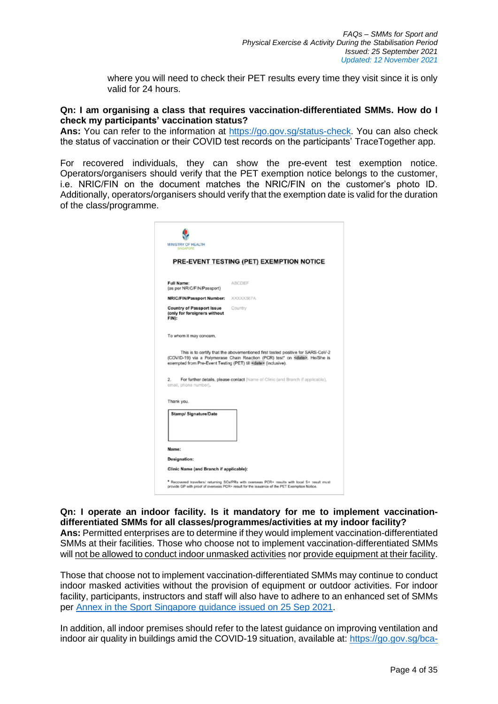where you will need to check their PET results every time they visit since it is only valid for 24 hours.

#### **Qn: I am organising a class that requires vaccination-differentiated SMMs. How do I check my participants' vaccination status?**

**Ans:** You can refer to the information at [https://go.gov.sg/status-check.](https://go.gov.sg/status-check) You can also check the status of vaccination or their COVID test records on the participants' TraceTogether app.

For recovered individuals, they can show the pre-event test exemption notice. Operators/organisers should verify that the PET exemption notice belongs to the customer, i.e. NRIC/FIN on the document matches the NRIC/FIN on the customer's photo ID. Additionally, operators/organisers should verify that the exemption date is valid for the duration of the class/programme.

| <b>SINGAPORE</b>                                                                              |                                                                                                                                                                                                                                                                                                                                     |
|-----------------------------------------------------------------------------------------------|-------------------------------------------------------------------------------------------------------------------------------------------------------------------------------------------------------------------------------------------------------------------------------------------------------------------------------------|
|                                                                                               | <b>PRE-EVENT TESTING (PET) EXEMPTION NOTICE</b>                                                                                                                                                                                                                                                                                     |
| <b>Full Name:</b><br>(as per NRIC/FIN/Passport)                                               | <b>ABCDEF</b>                                                                                                                                                                                                                                                                                                                       |
| <b>NRIC/FIN/Passport Number:</b>                                                              | XXXXX567A                                                                                                                                                                                                                                                                                                                           |
| <b>Country of Passport Issue</b><br>(only for foreigners without<br>FIN):                     | Country                                                                                                                                                                                                                                                                                                                             |
|                                                                                               |                                                                                                                                                                                                                                                                                                                                     |
|                                                                                               |                                                                                                                                                                                                                                                                                                                                     |
|                                                                                               | This is to certify that the abovementioned first tested positive for SARS-CoV-2<br>(COVID-19) via a Polymerase Chain Reaction (PCR) test* on <date>. He/She is<br/>exempted from Pre-Event Testing (PET) till <date> (inclusive).<br/>For further details, please contact [Name of Clinic (and Branch if applicable),</date></date> |
|                                                                                               |                                                                                                                                                                                                                                                                                                                                     |
| To whom it may concern,<br>2.<br>email, phone number].<br>Thank you.<br>Stamp/ Signature/Date |                                                                                                                                                                                                                                                                                                                                     |
|                                                                                               |                                                                                                                                                                                                                                                                                                                                     |
| Name:<br><b>Designation:</b>                                                                  |                                                                                                                                                                                                                                                                                                                                     |

**Qn: I operate an indoor facility. Is it mandatory for me to implement vaccinationdifferentiated SMMs for all classes/programmes/activities at my indoor facility? Ans:** Permitted enterprises are to determine if they would implement vaccination-differentiated SMMs at their facilities. Those who choose not to implement vaccination-differentiated SMMs will not be allowed to conduct indoor unmasked activities nor provide equipment at their facility.

Those that choose not to implement vaccination-differentiated SMMs may continue to conduct indoor masked activities without the provision of equipment or outdoor activities. For indoor facility, participants, instructors and staff will also have to adhere to an enhanced set of SMMs per [Annex in the Sport Singapore guidance issued on 25 Sep 2021.](https://www.sportsingapore.gov.sg/Newsroom/Media-Releases)

In addition, all indoor premises should refer to the latest guidance on improving ventilation and indoor air quality in buildings amid the COVID-19 situation, available at: [https://go.gov.sg/bca-](https://go.gov.sg/bca-circular-improving-ventilation-iaq)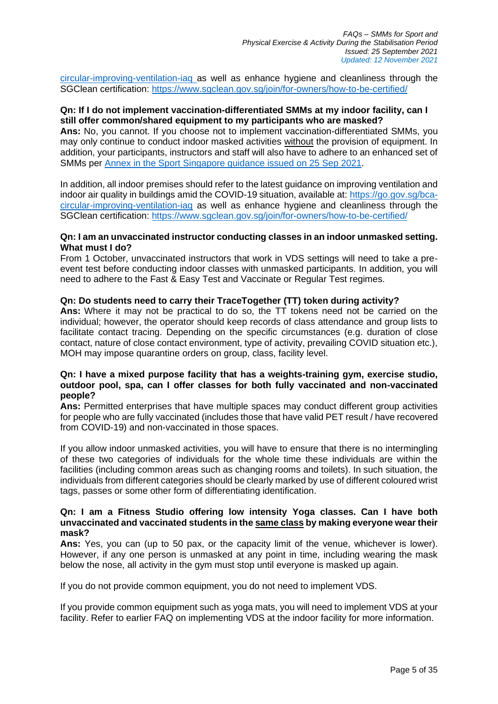[circular-improving-ventilation-iaq](https://go.gov.sg/bca-circular-improving-ventilation-iaq) as well as enhance hygiene and cleanliness through the SGClean certification: <https://www.sgclean.gov.sg/join/for-owners/how-to-be-certified/>

## **Qn: If I do not implement vaccination-differentiated SMMs at my indoor facility, can I still offer common/shared equipment to my participants who are masked?**

**Ans:** No, you cannot. If you choose not to implement vaccination-differentiated SMMs, you may only continue to conduct indoor masked activities without the provision of equipment. In addition, your participants, instructors and staff will also have to adhere to an enhanced set of SMMs per [Annex in the Sport Singapore guidance issued on 25 Sep 2021.](https://www.sportsingapore.gov.sg/Newsroom/Media-Releases)

In addition, all indoor premises should refer to the latest guidance on improving ventilation and indoor air quality in buildings amid the COVID-19 situation, available at: [https://go.gov.sg/bca](https://go.gov.sg/bca-circular-improving-ventilation-iaq)[circular-improving-ventilation-iaq](https://go.gov.sg/bca-circular-improving-ventilation-iaq) as well as enhance hygiene and cleanliness through the SGClean certification: <https://www.sgclean.gov.sg/join/for-owners/how-to-be-certified/>

## **Qn: I am an unvaccinated instructor conducting classes in an indoor unmasked setting. What must I do?**

From 1 October, unvaccinated instructors that work in VDS settings will need to take a preevent test before conducting indoor classes with unmasked participants. In addition, you will need to adhere to the Fast & Easy Test and Vaccinate or Regular Test regimes.

## **Qn: Do students need to carry their TraceTogether (TT) token during activity?**

**Ans:** Where it may not be practical to do so, the TT tokens need not be carried on the individual; however, the operator should keep records of class attendance and group lists to facilitate contact tracing. Depending on the specific circumstances (e.g. duration of close contact, nature of close contact environment, type of activity, prevailing COVID situation etc.), MOH may impose quarantine orders on group, class, facility level.

## **Qn: I have a mixed purpose facility that has a weights-training gym, exercise studio, outdoor pool, spa, can I offer classes for both fully vaccinated and non-vaccinated people?**

Ans: Permitted enterprises that have multiple spaces may conduct different group activities for people who are fully vaccinated (includes those that have valid PET result / have recovered from COVID-19) and non-vaccinated in those spaces.

If you allow indoor unmasked activities, you will have to ensure that there is no intermingling of these two categories of individuals for the whole time these individuals are within the facilities (including common areas such as changing rooms and toilets). In such situation, the individuals from different categories should be clearly marked by use of different coloured wrist tags, passes or some other form of differentiating identification.

## **Qn: I am a Fitness Studio offering low intensity Yoga classes. Can I have both unvaccinated and vaccinated students in the same class by making everyone wear their mask?**

**Ans:** Yes, you can (up to 50 pax, or the capacity limit of the venue, whichever is lower). However, if any one person is unmasked at any point in time, including wearing the mask below the nose, all activity in the gym must stop until everyone is masked up again.

If you do not provide common equipment, you do not need to implement VDS.

If you provide common equipment such as yoga mats, you will need to implement VDS at your facility. Refer to earlier FAQ on implementing VDS at the indoor facility for more information.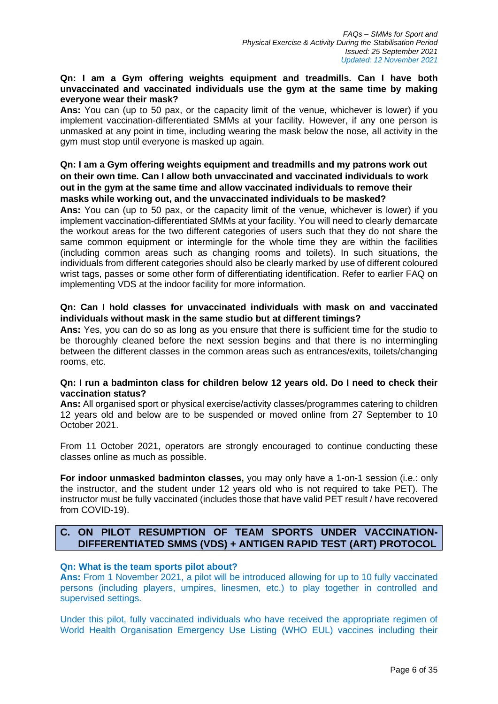## **Qn: I am a Gym offering weights equipment and treadmills. Can I have both unvaccinated and vaccinated individuals use the gym at the same time by making everyone wear their mask?**

**Ans:** You can (up to 50 pax, or the capacity limit of the venue, whichever is lower) if you implement vaccination-differentiated SMMs at your facility. However, if any one person is unmasked at any point in time, including wearing the mask below the nose, all activity in the gym must stop until everyone is masked up again.

# **Qn: I am a Gym offering weights equipment and treadmills and my patrons work out on their own time. Can I allow both unvaccinated and vaccinated individuals to work out in the gym at the same time and allow vaccinated individuals to remove their masks while working out, and the unvaccinated individuals to be masked?**

**Ans:** You can (up to 50 pax, or the capacity limit of the venue, whichever is lower) if you implement vaccination-differentiated SMMs at your facility. You will need to clearly demarcate the workout areas for the two different categories of users such that they do not share the same common equipment or intermingle for the whole time they are within the facilities (including common areas such as changing rooms and toilets). In such situations, the individuals from different categories should also be clearly marked by use of different coloured wrist tags, passes or some other form of differentiating identification. Refer to earlier FAQ on implementing VDS at the indoor facility for more information.

# **Qn: Can I hold classes for unvaccinated individuals with mask on and vaccinated individuals without mask in the same studio but at different timings?**

**Ans:** Yes, you can do so as long as you ensure that there is sufficient time for the studio to be thoroughly cleaned before the next session begins and that there is no intermingling between the different classes in the common areas such as entrances/exits, toilets/changing rooms, etc.

## **Qn: I run a badminton class for children below 12 years old. Do I need to check their vaccination status?**

**Ans:** All organised sport or physical exercise/activity classes/programmes catering to children 12 years old and below are to be suspended or moved online from 27 September to 10 October 2021.

From 11 October 2021, operators are strongly encouraged to continue conducting these classes online as much as possible.

**For indoor unmasked badminton classes,** you may only have a 1-on-1 session (i.e.: only the instructor, and the student under 12 years old who is not required to take PET). The instructor must be fully vaccinated (includes those that have valid PET result / have recovered from COVID-19).

# **C. ON PILOT RESUMPTION OF TEAM SPORTS UNDER VACCINATION-DIFFERENTIATED SMMS (VDS) + ANTIGEN RAPID TEST (ART) PROTOCOL**

## **Qn: What is the team sports pilot about?**

**Ans:** From 1 November 2021, a pilot will be introduced allowing for up to 10 fully vaccinated persons (including players, umpires, linesmen, etc.) to play together in controlled and supervised settings.

Under this pilot, fully vaccinated individuals who have received the appropriate regimen of World Health Organisation Emergency Use Listing (WHO EUL) vaccines including their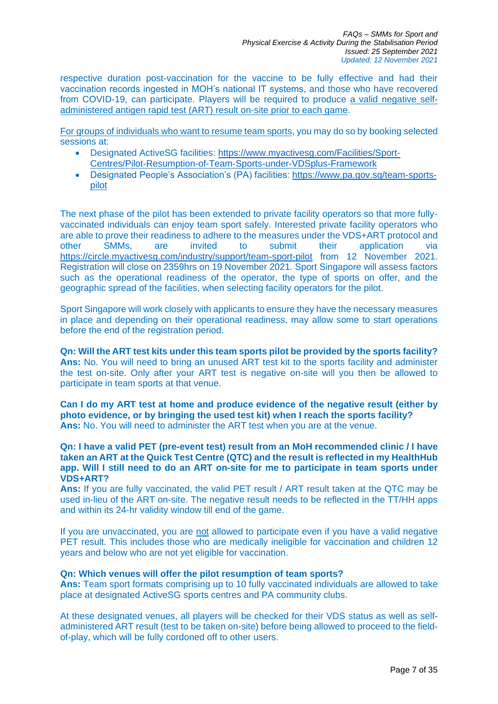respective duration post-vaccination for the vaccine to be fully effective and had their vaccination records ingested in MOH's national IT systems, and those who have recovered from COVID-19, can participate. Players will be required to produce a valid negative selfadministered antigen rapid test (ART) result on-site prior to each game.

For groups of individuals who want to resume team sports, you may do so by booking selected sessions at:

- Designated ActiveSG facilities: [https://www.myactivesg.com/Facilities/Sport-](https://www.myactivesg.com/Facilities/Sport-Centres/Pilot-Resumption-of-Team-Sports-under-VDSplus-Framework)[Centres/Pilot-Resumption-of-Team-Sports-under-VDSplus-Framework](https://www.myactivesg.com/Facilities/Sport-Centres/Pilot-Resumption-of-Team-Sports-under-VDSplus-Framework)
- Designated People's Association's (PA) facilities: [https://www.pa.gov.sg/team-sports](https://www.pa.gov.sg/team-sports-pilot)[pilot](https://www.pa.gov.sg/team-sports-pilot)

The next phase of the pilot has been extended to private facility operators so that more fullyvaccinated individuals can enjoy team sport safely. Interested private facility operators who are able to prove their readiness to adhere to the measures under the VDS+ART protocol and other SMMs, are invited to submit their application via <https://circle.myactivesg.com/industry/support/team-sport-pilot> from 12 November 2021. Registration will close on 2359hrs on 19 November 2021. Sport Singapore will assess factors such as the operational readiness of the operator, the type of sports on offer, and the geographic spread of the facilities, when selecting facility operators for the pilot.

Sport Singapore will work closely with applicants to ensure they have the necessary measures in place and depending on their operational readiness, may allow some to start operations before the end of the registration period.

**Qn: Will the ART test kits under this team sports pilot be provided by the sports facility? Ans:** No. You will need to bring an unused ART test kit to the sports facility and administer the test on-site. Only after your ART test is negative on-site will you then be allowed to participate in team sports at that venue.

**Can I do my ART test at home and produce evidence of the negative result (either by photo evidence, or by bringing the used test kit) when I reach the sports facility? Ans:** No. You will need to administer the ART test when you are at the venue.

## **Qn: I have a valid PET (pre-event test) result from an MoH recommended clinic / I have taken an ART at the Quick Test Centre (QTC) and the result is reflected in my HealthHub app. Will I still need to do an ART on-site for me to participate in team sports under VDS+ART?**

**Ans:** If you are fully vaccinated, the valid PET result / ART result taken at the QTC may be used in-lieu of the ART on-site. The negative result needs to be reflected in the TT/HH apps and within its 24-hr validity window till end of the game.

If you are unvaccinated, you are not allowed to participate even if you have a valid negative PET result. This includes those who are medically ineligible for vaccination and children 12 years and below who are not yet eligible for vaccination.

## **Qn: Which venues will offer the pilot resumption of team sports?**

**Ans:** Team sport formats comprising up to 10 fully vaccinated individuals are allowed to take place at designated ActiveSG sports centres and PA community clubs.

At these designated venues, all players will be checked for their VDS status as well as selfadministered ART result (test to be taken on-site) before being allowed to proceed to the fieldof-play, which will be fully cordoned off to other users.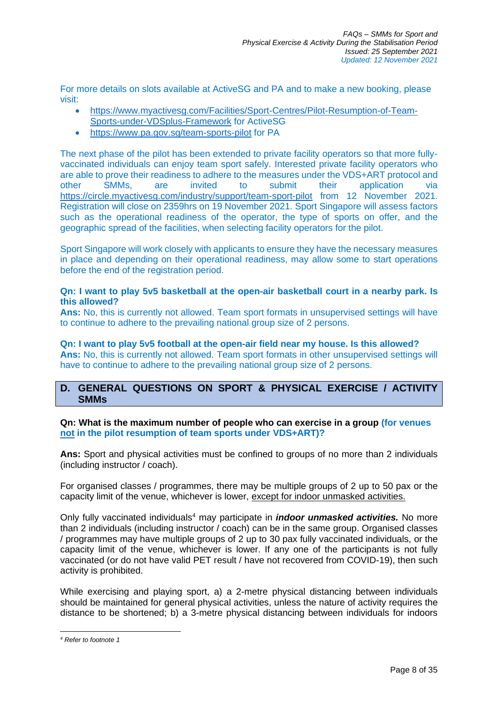For more details on slots available at ActiveSG and PA and to make a new booking, please visit:

- [https://www.myactivesg.com/Facilities/Sport-Centres/Pilot-Resumption-of-Team-](https://www.myactivesg.com/Facilities/Sport-Centres/Pilot-Resumption-of-Team-Sports-under-VDSplus-Framework)[Sports-under-VDSplus-Framework](https://www.myactivesg.com/Facilities/Sport-Centres/Pilot-Resumption-of-Team-Sports-under-VDSplus-Framework) for ActiveSG
- <https://www.pa.gov.sg/team-sports-pilot> for PA

The next phase of the pilot has been extended to private facility operators so that more fullyvaccinated individuals can enjoy team sport safely. Interested private facility operators who are able to prove their readiness to adhere to the measures under the VDS+ART protocol and other SMMs, are invited to submit their application via <https://circle.myactivesg.com/industry/support/team-sport-pilot> from 12 November 2021. Registration will close on 2359hrs on 19 November 2021. Sport Singapore will assess factors such as the operational readiness of the operator, the type of sports on offer, and the geographic spread of the facilities, when selecting facility operators for the pilot.

Sport Singapore will work closely with applicants to ensure they have the necessary measures in place and depending on their operational readiness, may allow some to start operations before the end of the registration period.

## **Qn: I want to play 5v5 basketball at the open-air basketball court in a nearby park. Is this allowed?**

**Ans:** No, this is currently not allowed. Team sport formats in unsupervised settings will have to continue to adhere to the prevailing national group size of 2 persons.

**Qn: I want to play 5v5 football at the open-air field near my house. Is this allowed? Ans:** No, this is currently not allowed. Team sport formats in other unsupervised settings will have to continue to adhere to the prevailing national group size of 2 persons.

# **D. GENERAL QUESTIONS ON SPORT & PHYSICAL EXERCISE / ACTIVITY SMMs**

**Qn: What is the maximum number of people who can exercise in a group (for venues not in the pilot resumption of team sports under VDS+ART)?** 

**Ans:** Sport and physical activities must be confined to groups of no more than 2 individuals (including instructor / coach).

For organised classes / programmes, there may be multiple groups of 2 up to 50 pax or the capacity limit of the venue, whichever is lower, except for indoor unmasked activities.

Only fully vaccinated individuals<sup>4</sup> may participate in *indoor unmasked activities.* No more than 2 individuals (including instructor / coach) can be in the same group. Organised classes / programmes may have multiple groups of 2 up to 30 pax fully vaccinated individuals, or the capacity limit of the venue, whichever is lower. If any one of the participants is not fully vaccinated (or do not have valid PET result / have not recovered from COVID-19), then such activity is prohibited.

While exercising and playing sport, a) a 2-metre physical distancing between individuals should be maintained for general physical activities, unless the nature of activity requires the distance to be shortened; b) a 3-metre physical distancing between individuals for indoors

*<sup>4</sup> Refer to footnote 1*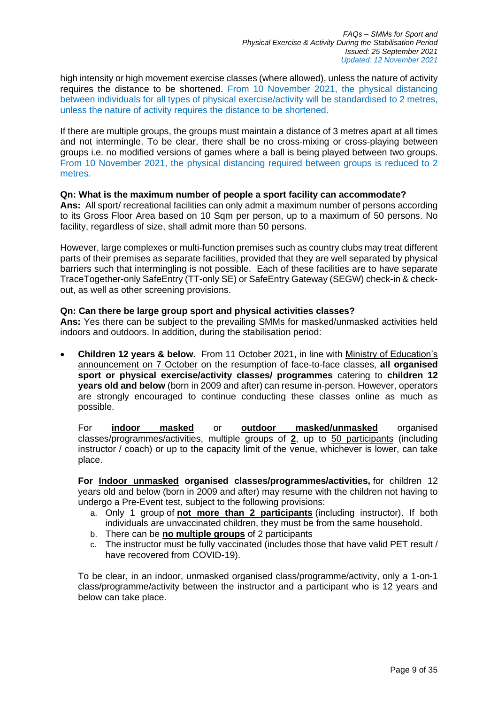high intensity or high movement exercise classes (where allowed), unless the nature of activity requires the distance to be shortened. From 10 November 2021, the physical distancing between individuals for all types of physical exercise/activity will be standardised to 2 metres, unless the nature of activity requires the distance to be shortened.

If there are multiple groups, the groups must maintain a distance of 3 metres apart at all times and not intermingle. To be clear, there shall be no cross-mixing or cross-playing between groups i.e. no modified versions of games where a ball is being played between two groups. From 10 November 2021, the physical distancing required between groups is reduced to 2 metres.

## **Qn: What is the maximum number of people a sport facility can accommodate?**

**Ans:** All sport/ recreational facilities can only admit a maximum number of persons according to its Gross Floor Area based on 10 Sqm per person, up to a maximum of 50 persons. No facility, regardless of size, shall admit more than 50 persons.

However, large complexes or multi-function premises such as country clubs may treat different parts of their premises as separate facilities, provided that they are well separated by physical barriers such that intermingling is not possible. Each of these facilities are to have separate TraceTogether-only SafeEntry (TT-only SE) or SafeEntry Gateway (SEGW) check-in & checkout, as well as other screening provisions.

## **Qn: Can there be large group sport and physical activities classes?**

**Ans:** Yes there can be subject to the prevailing SMMs for masked/unmasked activities held indoors and outdoors. In addition, during the stabilisation period:

• **Children 12 years & below.** From 11 October 2021, in line with [Ministry of Education's](https://www.moe.gov.sg/news/press-releases/20211007-phased-resumption-of-face-to-face-lessons-for-primary-schools-from-11-october)  [announcement on 7 October](https://www.moe.gov.sg/news/press-releases/20211007-phased-resumption-of-face-to-face-lessons-for-primary-schools-from-11-october) on the resumption of face-to-face classes, **all organised sport or physical exercise/activity classes/ programmes** catering to **children 12 years old and below** (born in 2009 and after) can resume in-person. However, operators are strongly encouraged to continue conducting these classes online as much as possible.

For **indoor masked** or **outdoor masked/unmasked** organised classes/programmes/activities, multiple groups of **2**, up to 50 participants (including instructor / coach) or up to the capacity limit of the venue, whichever is lower, can take place.

**For Indoor unmasked organised classes/programmes/activities,** for children 12 years old and below (born in 2009 and after) may resume with the children not having to undergo a Pre-Event test, subject to the following provisions:

- a. Only 1 group of **not more than 2 participants** (including instructor). If both individuals are unvaccinated children, they must be from the same household.
- b. There can be **no multiple groups** of 2 participants
- c. The instructor must be fully vaccinated (includes those that have valid PET result / have recovered from COVID-19).

To be clear, in an indoor, unmasked organised class/programme/activity, only a 1-on-1 class/programme/activity between the instructor and a participant who is 12 years and below can take place.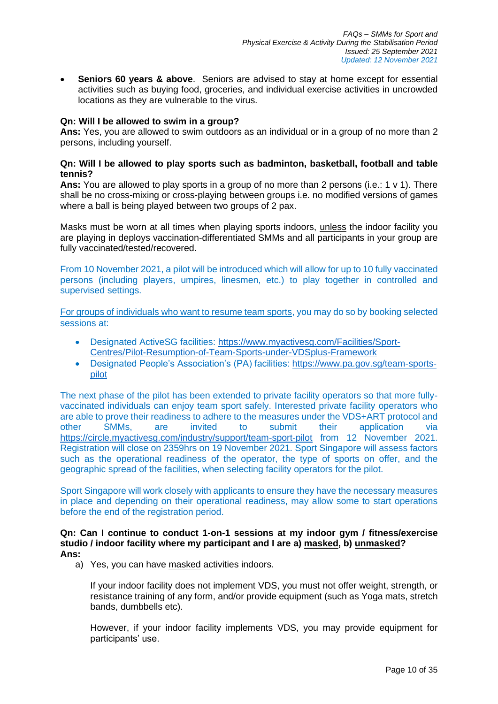• **Seniors 60 years & above**. Seniors are advised to stay at home except for essential activities such as buying food, groceries, and individual exercise activities in uncrowded locations as they are vulnerable to the virus.

## **Qn: Will I be allowed to swim in a group?**

**Ans:** Yes, you are allowed to swim outdoors as an individual or in a group of no more than 2 persons, including yourself.

## **Qn: Will I be allowed to play sports such as badminton, basketball, football and table tennis?**

**Ans:** You are allowed to play sports in a group of no more than 2 persons (i.e.: 1 v 1). There shall be no cross-mixing or cross-playing between groups i.e. no modified versions of games where a ball is being played between two groups of 2 pax.

Masks must be worn at all times when playing sports indoors, unless the indoor facility you are playing in deploys vaccination-differentiated SMMs and all participants in your group are fully vaccinated/tested/recovered.

From 10 November 2021, a pilot will be introduced which will allow for up to 10 fully vaccinated persons (including players, umpires, linesmen, etc.) to play together in controlled and supervised settings.

For groups of individuals who want to resume team sports, you may do so by booking selected sessions at:

- Designated ActiveSG facilities: [https://www.myactivesg.com/Facilities/Sport-](https://www.myactivesg.com/Facilities/Sport-Centres/Pilot-Resumption-of-Team-Sports-under-VDSplus-Framework)[Centres/Pilot-Resumption-of-Team-Sports-under-VDSplus-Framework](https://www.myactivesg.com/Facilities/Sport-Centres/Pilot-Resumption-of-Team-Sports-under-VDSplus-Framework)
- Designated People's Association's (PA) facilities: [https://www.pa.gov.sg/team-sports](https://www.pa.gov.sg/team-sports-pilot)[pilot](https://www.pa.gov.sg/team-sports-pilot)

The next phase of the pilot has been extended to private facility operators so that more fullyvaccinated individuals can enjoy team sport safely. Interested private facility operators who are able to prove their readiness to adhere to the measures under the VDS+ART protocol and other SMMs, are invited to submit their application via <https://circle.myactivesg.com/industry/support/team-sport-pilot> from 12 November 2021. Registration will close on 2359hrs on 19 November 2021. Sport Singapore will assess factors such as the operational readiness of the operator, the type of sports on offer, and the geographic spread of the facilities, when selecting facility operators for the pilot.

Sport Singapore will work closely with applicants to ensure they have the necessary measures in place and depending on their operational readiness, may allow some to start operations before the end of the registration period.

#### **Qn: Can I continue to conduct 1-on-1 sessions at my indoor gym / fitness/exercise studio / indoor facility where my participant and I are a) masked, b) unmasked? Ans:**

a) Yes, you can have masked activities indoors.

If your indoor facility does not implement VDS, you must not offer weight, strength, or resistance training of any form, and/or provide equipment (such as Yoga mats, stretch bands, dumbbells etc).

However, if your indoor facility implements VDS, you may provide equipment for participants' use.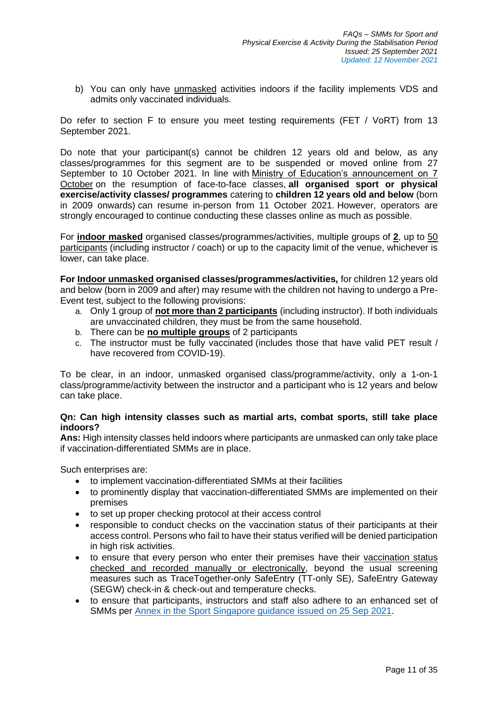b) You can only have unmasked activities indoors if the facility implements VDS and admits only vaccinated individuals.

Do refer to section F to ensure you meet testing requirements (FET / VoRT) from 13 September 2021.

Do note that your participant(s) cannot be children 12 years old and below, as any classes/programmes for this segment are to be suspended or moved online from 27 September to 10 October 2021. In line with Ministry of Education's announcement on 7 [October](https://www.moe.gov.sg/news/press-releases/20211007-phased-resumption-of-face-to-face-lessons-for-primary-schools-from-11-october) on the resumption of face-to-face classes, **all organised sport or physical exercise/activity classes/ programmes** catering to **children 12 years old and below** (born in 2009 onwards) can resume in-person from 11 October 2021. However, operators are strongly encouraged to continue conducting these classes online as much as possible.

For **indoor masked** organised classes/programmes/activities, multiple groups of **2**, up to 50 participants (including instructor / coach) or up to the capacity limit of the venue, whichever is lower, can take place.

**For Indoor unmasked organised classes/programmes/activities,** for children 12 years old and below (born in 2009 and after) may resume with the children not having to undergo a Pre-Event test, subject to the following provisions:

- a. Only 1 group of **not more than 2 participants** (including instructor). If both individuals are unvaccinated children, they must be from the same household.
- b. There can be **no multiple groups** of 2 participants
- c. The instructor must be fully vaccinated (includes those that have valid PET result / have recovered from COVID-19).

To be clear, in an indoor, unmasked organised class/programme/activity, only a 1-on-1 class/programme/activity between the instructor and a participant who is 12 years and below can take place.

## **Qn: Can high intensity classes such as martial arts, combat sports, still take place indoors?**

**Ans:** High intensity classes held indoors where participants are unmasked can only take place if vaccination-differentiated SMMs are in place.

Such enterprises are:

- to implement vaccination-differentiated SMMs at their facilities
- to prominently display that vaccination-differentiated SMMs are implemented on their premises
- to set up proper checking protocol at their access control
- responsible to conduct checks on the vaccination status of their participants at their access control. Persons who fail to have their status verified will be denied participation in high risk activities.
- to ensure that every person who enter their premises have their vaccination status checked and recorded manually or electronically, beyond the usual screening measures such as TraceTogether-only SafeEntry (TT-only SE), SafeEntry Gateway (SEGW) check-in & check-out and temperature checks.
- to ensure that participants, instructors and staff also adhere to an enhanced set of SMMs per [Annex in the Sport Singapore guidance issued on 25 Sep 2021.](https://www.sportsingapore.gov.sg/Newsroom/Media-Releases)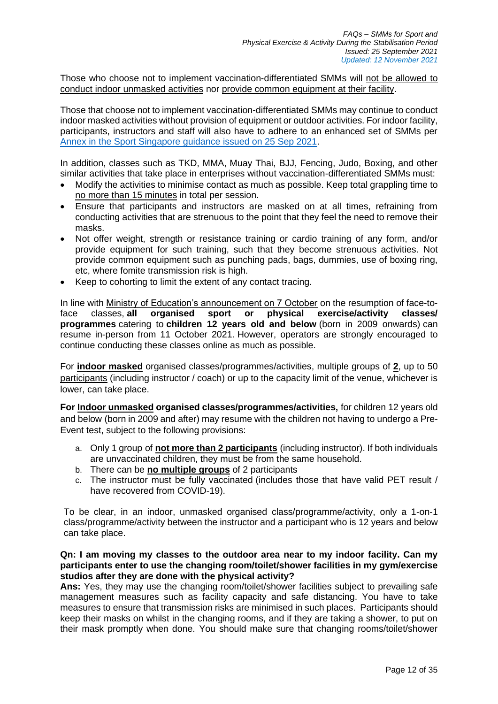Those who choose not to implement vaccination-differentiated SMMs will not be allowed to conduct indoor unmasked activities nor provide common equipment at their facility.

Those that choose not to implement vaccination-differentiated SMMs may continue to conduct indoor masked activities without provision of equipment or outdoor activities. For indoor facility, participants, instructors and staff will also have to adhere to an enhanced set of SMMs per [Annex in the Sport Singapore guidance issued on 25 Sep 2021.](https://www.sportsingapore.gov.sg/Newsroom/Media-Releases)

In addition, classes such as TKD, MMA, Muay Thai, BJJ, Fencing, Judo, Boxing, and other similar activities that take place in enterprises without vaccination-differentiated SMMs must:

- Modify the activities to minimise contact as much as possible. Keep total grappling time to no more than 15 minutes in total per session.
- Ensure that participants and instructors are masked on at all times, refraining from conducting activities that are strenuous to the point that they feel the need to remove their masks.
- Not offer weight, strength or resistance training or cardio training of any form, and/or provide equipment for such training, such that they become strenuous activities. Not provide common equipment such as punching pads, bags, dummies, use of boxing ring, etc, where fomite transmission risk is high.
- Keep to cohorting to limit the extent of any contact tracing.

In line with [Ministry of Education's announcement on 7 October](https://www.moe.gov.sg/news/press-releases/20211007-phased-resumption-of-face-to-face-lessons-for-primary-schools-from-11-october) on the resumption of face-toface classes, **all organised sport or physical exercise/activity classes/ programmes** catering to **children 12 years old and below** (born in 2009 onwards) can resume in-person from 11 October 2021. However, operators are strongly encouraged to continue conducting these classes online as much as possible.

For **indoor masked** organised classes/programmes/activities, multiple groups of **2**, up to 50 participants (including instructor / coach) or up to the capacity limit of the venue, whichever is lower, can take place.

**For Indoor unmasked organised classes/programmes/activities,** for children 12 years old and below (born in 2009 and after) may resume with the children not having to undergo a Pre-Event test, subject to the following provisions:

- a. Only 1 group of **not more than 2 participants** (including instructor). If both individuals are unvaccinated children, they must be from the same household.
- b. There can be **no multiple groups** of 2 participants
- c. The instructor must be fully vaccinated (includes those that have valid PET result / have recovered from COVID-19).

To be clear, in an indoor, unmasked organised class/programme/activity, only a 1-on-1 class/programme/activity between the instructor and a participant who is 12 years and below can take place.

## **Qn: I am moving my classes to the outdoor area near to my indoor facility. Can my participants enter to use the changing room/toilet/shower facilities in my gym/exercise studios after they are done with the physical activity?**

Ans: Yes, they may use the changing room/toilet/shower facilities subject to prevailing safe management measures such as facility capacity and safe distancing. You have to take measures to ensure that transmission risks are minimised in such places. Participants should keep their masks on whilst in the changing rooms, and if they are taking a shower, to put on their mask promptly when done. You should make sure that changing rooms/toilet/shower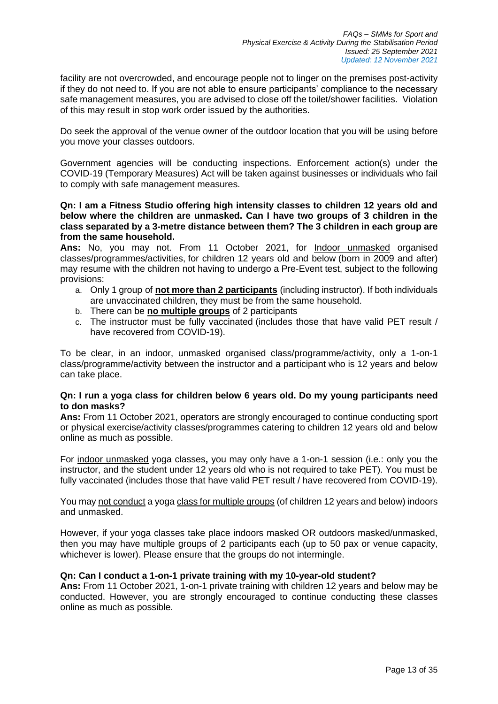facility are not overcrowded, and encourage people not to linger on the premises post-activity if they do not need to. If you are not able to ensure participants' compliance to the necessary safe management measures, you are advised to close off the toilet/shower facilities. Violation of this may result in stop work order issued by the authorities.

Do seek the approval of the venue owner of the outdoor location that you will be using before you move your classes outdoors.

Government agencies will be conducting inspections. Enforcement action(s) under the COVID-19 (Temporary Measures) Act will be taken against businesses or individuals who fail to comply with safe management measures.

**Qn: I am a Fitness Studio offering high intensity classes to children 12 years old and below where the children are unmasked. Can I have two groups of 3 children in the class separated by a 3-metre distance between them? The 3 children in each group are from the same household.**

**Ans:** No, you may not. From 11 October 2021, for Indoor unmasked organised classes/programmes/activities, for children 12 years old and below (born in 2009 and after) may resume with the children not having to undergo a Pre-Event test, subject to the following provisions:

- a. Only 1 group of **not more than 2 participants** (including instructor). If both individuals are unvaccinated children, they must be from the same household.
- b. There can be **no multiple groups** of 2 participants
- c. The instructor must be fully vaccinated (includes those that have valid PET result / have recovered from COVID-19).

To be clear, in an indoor, unmasked organised class/programme/activity, only a 1-on-1 class/programme/activity between the instructor and a participant who is 12 years and below can take place.

## **Qn: I run a yoga class for children below 6 years old. Do my young participants need to don masks?**

**Ans:** From 11 October 2021, operators are strongly encouraged to continue conducting sport or physical exercise/activity classes/programmes catering to children 12 years old and below online as much as possible.

For indoor unmasked yoga classes**,** you may only have a 1-on-1 session (i.e.: only you the instructor, and the student under 12 years old who is not required to take PET). You must be fully vaccinated (includes those that have valid PET result / have recovered from COVID-19).

You may not conduct a yoga class for multiple groups (of children 12 years and below) indoors and unmasked.

However, if your yoga classes take place indoors masked OR outdoors masked/unmasked, then you may have multiple groups of 2 participants each (up to 50 pax or venue capacity, whichever is lower). Please ensure that the groups do not intermingle.

## **Qn: Can I conduct a 1-on-1 private training with my 10-year-old student?**

**Ans:** From 11 October 2021, 1-on-1 private training with children 12 years and below may be conducted. However, you are strongly encouraged to continue conducting these classes online as much as possible.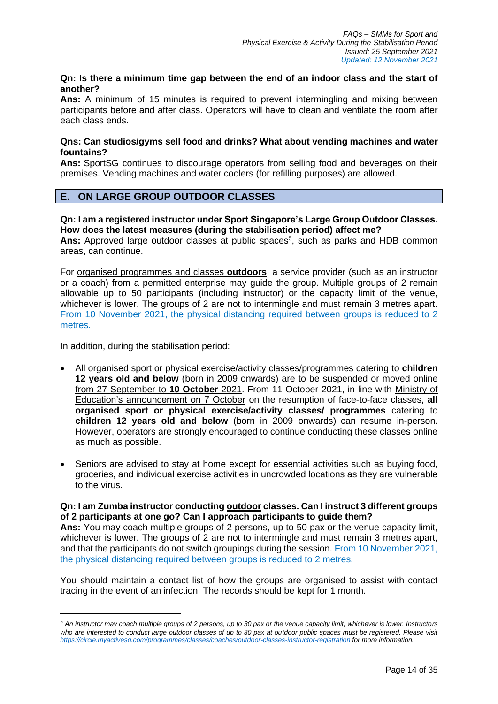# **Qn: Is there a minimum time gap between the end of an indoor class and the start of another?**

**Ans:** A minimum of 15 minutes is required to prevent intermingling and mixing between participants before and after class. Operators will have to clean and ventilate the room after each class ends.

## **Qns: Can studios/gyms sell food and drinks? What about vending machines and water fountains?**

**Ans:** SportSG continues to discourage operators from selling food and beverages on their premises. Vending machines and water coolers (for refilling purposes) are allowed.

# **E. ON LARGE GROUP OUTDOOR CLASSES**

# **Qn: I am a registered instructor under Sport Singapore's Large Group Outdoor Classes. How does the latest measures (during the stabilisation period) affect me?**

Ans: Approved large outdoor classes at public spaces<sup>5</sup>, such as parks and HDB common areas, can continue.

For organised programmes and classes **outdoors**, a service provider (such as an instructor or a coach) from a permitted enterprise may guide the group. Multiple groups of 2 remain allowable up to 50 participants (including instructor) or the capacity limit of the venue, whichever is lower. The groups of 2 are not to intermingle and must remain 3 metres apart. From 10 November 2021, the physical distancing required between groups is reduced to 2 metres.

In addition, during the stabilisation period:

- All organised sport or physical exercise/activity classes/programmes catering to **children 12 years old and below** (born in 2009 onwards) are to be suspended or moved online from 27 September to **10 October** 2021. From 11 October 2021, in line with [Ministry of](https://www.moe.gov.sg/news/press-releases/20211007-phased-resumption-of-face-to-face-lessons-for-primary-schools-from-11-october) [Education's announcement on 7 October](https://www.moe.gov.sg/news/press-releases/20211007-phased-resumption-of-face-to-face-lessons-for-primary-schools-from-11-october) on the resumption of face-to-face classes, **all organised sport or physical exercise/activity classes/ programmes** catering to **children 12 years old and below** (born in 2009 onwards) can resume in-person. However, operators are strongly encouraged to continue conducting these classes online as much as possible.
- Seniors are advised to stay at home except for essential activities such as buying food, groceries, and individual exercise activities in uncrowded locations as they are vulnerable to the virus.

## **Qn: I am Zumba instructor conducting outdoor classes. Can I instruct 3 different groups of 2 participants at one go? Can I approach participants to guide them?**

**Ans:** You may coach multiple groups of 2 persons, up to 50 pax or the venue capacity limit, whichever is lower. The groups of 2 are not to intermingle and must remain 3 metres apart, and that the participants do not switch groupings during the session. From 10 November 2021, the physical distancing required between groups is reduced to 2 metres.

You should maintain a contact list of how the groups are organised to assist with contact tracing in the event of an infection. The records should be kept for 1 month.

<sup>5</sup> *An instructor may coach multiple groups of 2 persons, up to 30 pax or the venue capacity limit, whichever is lower. Instructors who are interested to conduct large outdoor classes of up to 30 pax at outdoor public spaces must be registered. Please visit <https://circle.myactivesg.com/programmes/classes/coaches/outdoor-classes-instructor-registration> for more information.*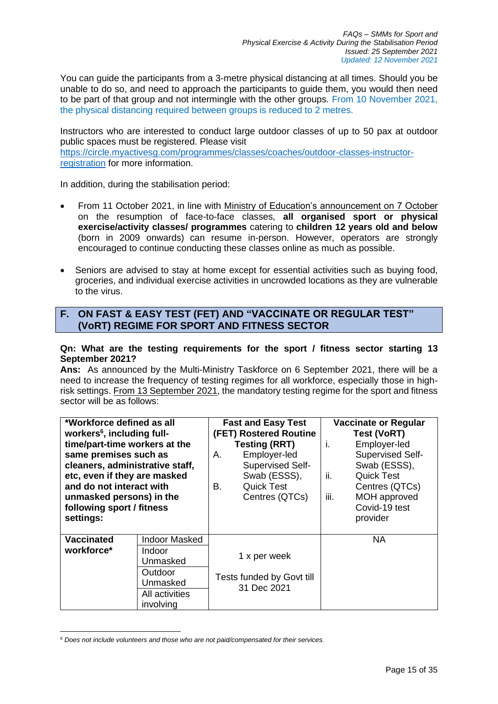You can guide the participants from a 3-metre physical distancing at all times. Should you be unable to do so, and need to approach the participants to guide them, you would then need to be part of that group and not intermingle with the other groups. From 10 November 2021, the physical distancing required between groups is reduced to 2 metres.

Instructors who are interested to conduct large outdoor classes of up to 50 pax at outdoor public spaces must be registered. Please visit [https://circle.myactivesg.com/programmes/classes/coaches/outdoor-classes-instructor](https://circle.myactivesg.com/programmes/classes/coaches/outdoor-classes-instructor-registration)[registration](https://circle.myactivesg.com/programmes/classes/coaches/outdoor-classes-instructor-registration) for more information.

In addition, during the stabilisation period:

- From 11 October 2021, in line with [Ministry of Education's announcement on 7 October](https://www.moe.gov.sg/news/press-releases/20211007-phased-resumption-of-face-to-face-lessons-for-primary-schools-from-11-october) on the resumption of face-to-face classes, **all organised sport or physical exercise/activity classes/ programmes** catering to **children 12 years old and below** (born in 2009 onwards) can resume in-person. However, operators are strongly encouraged to continue conducting these classes online as much as possible.
- Seniors are advised to stay at home except for essential activities such as buying food, groceries, and individual exercise activities in uncrowded locations as they are vulnerable to the virus.

# **F. ON FAST & EASY TEST (FET) AND "VACCINATE OR REGULAR TEST" (VoRT) REGIME FOR SPORT AND FITNESS SECTOR**

## **Qn: What are the testing requirements for the sport / fitness sector starting 13 September 2021?**

**Ans:** As announced by the Multi-Ministry Taskforce on 6 September 2021, there will be a need to increase the frequency of testing regimes for all workforce, especially those in highrisk settings. From 13 September 2021, the mandatory testing regime for the sport and fitness sector will be as follows:

| *Workforce defined as all              |                      | <b>Fast and Easy Test</b>                |                      | <b>Vaccinate or Regular</b> |                   |
|----------------------------------------|----------------------|------------------------------------------|----------------------|-----------------------------|-------------------|
| workers <sup>6</sup> , including full- |                      | <b>(FET) Rostered Routine</b>            |                      | <b>Test (VoRT)</b>          |                   |
| time/part-time workers at the          |                      |                                          | <b>Testing (RRT)</b> | İ.                          | Employer-led      |
| same premises such as                  |                      | А.                                       | Employer-led         |                             | Supervised Self-  |
| cleaners, administrative staff,        |                      |                                          | Supervised Self-     |                             | Swab (ESSS),      |
| etc, even if they are masked           |                      |                                          | Swab (ESSS),         | ii.                         | <b>Quick Test</b> |
| and do not interact with               |                      | В.                                       | <b>Quick Test</b>    |                             | Centres (QTCs)    |
| unmasked persons) in the               |                      |                                          | Centres (QTCs)       | iii.                        | MOH approved      |
| following sport / fitness              |                      |                                          |                      |                             | Covid-19 test     |
| settings:                              |                      |                                          |                      |                             | provider          |
|                                        |                      |                                          |                      |                             |                   |
| <b>Vaccinated</b>                      | <b>Indoor Masked</b> |                                          |                      |                             | <b>NA</b>         |
| workforce*                             | Indoor               | 1 x per week                             |                      |                             |                   |
|                                        | Unmasked             |                                          |                      |                             |                   |
|                                        | Outdoor              | Tests funded by Govt till<br>31 Dec 2021 |                      |                             |                   |
|                                        | Unmasked             |                                          |                      |                             |                   |
|                                        | All activities       |                                          |                      |                             |                   |
|                                        | involving            |                                          |                      |                             |                   |

*<sup>6</sup> Does not include volunteers and those who are not paid/compensated for their services.*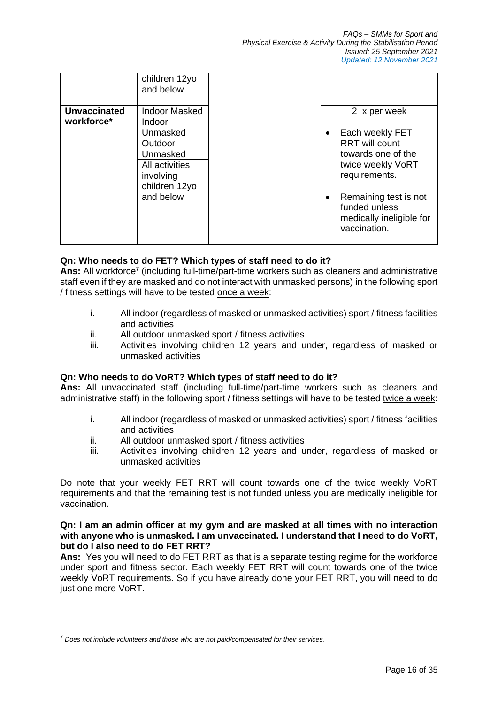|                     | children 12yo<br>and below |                                                                                         |
|---------------------|----------------------------|-----------------------------------------------------------------------------------------|
| <b>Unvaccinated</b> | <b>Indoor Masked</b>       | 2 x per week                                                                            |
| workforce*          | Indoor                     |                                                                                         |
|                     | Unmasked                   | Each weekly FET<br>٠                                                                    |
|                     | Outdoor                    | <b>RRT</b> will count                                                                   |
|                     | Unmasked                   | towards one of the                                                                      |
|                     | All activities             | twice weekly VoRT                                                                       |
|                     | involving                  | requirements.                                                                           |
|                     | children 12yo              |                                                                                         |
|                     | and below                  | Remaining test is not<br>٠<br>funded unless<br>medically ineligible for<br>vaccination. |

# **Qn: Who needs to do FET? Which types of staff need to do it?**

Ans: All workforce<sup>7</sup> (including full-time/part-time workers such as cleaners and administrative staff even if they are masked and do not interact with unmasked persons) in the following sport / fitness settings will have to be tested once a week:

- i. All indoor (regardless of masked or unmasked activities) sport / fitness facilities and activities
- ii. All outdoor unmasked sport / fitness activities
- iii. Activities involving children 12 years and under, regardless of masked or unmasked activities

# **Qn: Who needs to do VoRT? Which types of staff need to do it?**

**Ans:** All unvaccinated staff (including full-time/part-time workers such as cleaners and administrative staff) in the following sport / fitness settings will have to be tested twice a week:

- i. All indoor (regardless of masked or unmasked activities) sport / fitness facilities and activities
- ii. All outdoor unmasked sport / fitness activities
- iii. Activities involving children 12 years and under, regardless of masked or unmasked activities

Do note that your weekly FET RRT will count towards one of the twice weekly VoRT requirements and that the remaining test is not funded unless you are medically ineligible for vaccination.

## **Qn: I am an admin officer at my gym and are masked at all times with no interaction with anyone who is unmasked. I am unvaccinated. I understand that I need to do VoRT, but do I also need to do FET RRT?**

**Ans:** Yes you will need to do FET RRT as that is a separate testing regime for the workforce under sport and fitness sector. Each weekly FET RRT will count towards one of the twice weekly VoRT requirements. So if you have already done your FET RRT, you will need to do just one more VoRT.

<sup>7</sup> *Does not include volunteers and those who are not paid/compensated for their services.*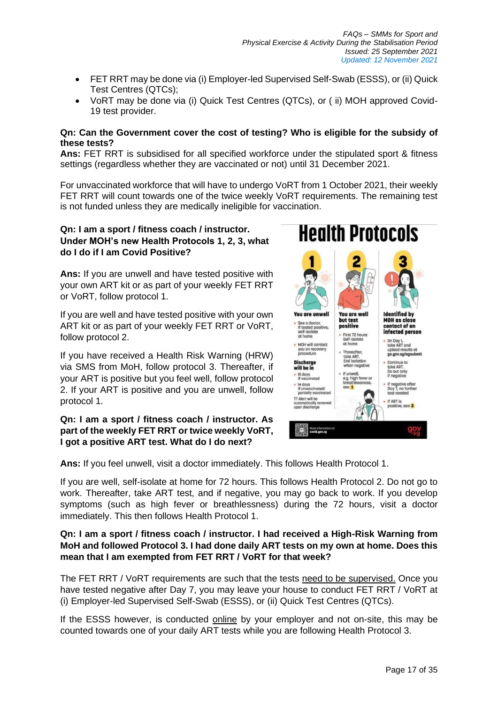- FET RRT may be done via (i) Employer-led Supervised Self-Swab (ESSS), or (ii) Quick Test Centres (QTCs);
- VoRT may be done via (i) Quick Test Centres (QTCs), or ( ii) MOH approved Covid-19 test provider.

## **Qn: Can the Government cover the cost of testing? Who is eligible for the subsidy of these tests?**

**Ans:** FET RRT is subsidised for all specified workforce under the stipulated sport & fitness settings (regardless whether they are vaccinated or not) until 31 December 2021.

For unvaccinated workforce that will have to undergo VoRT from 1 October 2021, their weekly FET RRT will count towards one of the twice weekly VoRT requirements. The remaining test is not funded unless they are medically ineligible for vaccination.

# **Qn: I am a sport / fitness coach / instructor. Under MOH's new Health Protocols 1, 2, 3, what do I do if I am Covid Positive?**

**Ans:** If you are unwell and have tested positive with your own ART kit or as part of your weekly FET RRT or VoRT, follow protocol 1.

If you are well and have tested positive with your own ART kit or as part of your weekly FET RRT or VoRT, follow protocol 2.

If you have received a Health Risk Warning (HRW) via SMS from MoH, follow protocol 3. Thereafter, if your ART is positive but you feel well, follow protocol 2. If your ART is positive and you are unwell, follow protocol 1.

# **Qn: I am a sport / fitness coach / instructor. As part of the weekly FET RRT or twice weekly VoRT, I got a positive ART test. What do I do next?**



**Ans:** If you feel unwell, visit a doctor immediately. This follows Health Protocol 1.

If you are well, self-isolate at home for 72 hours. This follows Health Protocol 2. Do not go to work. Thereafter, take ART test, and if negative, you may go back to work. If you develop symptoms (such as high fever or breathlessness) during the 72 hours, visit a doctor immediately. This then follows Health Protocol 1.

# **Qn: I am a sport / fitness coach / instructor. I had received a High-Risk Warning from MoH and followed Protocol 3. I had done daily ART tests on my own at home. Does this mean that I am exempted from FET RRT / VoRT for that week?**

The FET RRT / VoRT requirements are such that the tests need to be supervised. Once you have tested negative after Day 7, you may leave your house to conduct FET RRT / VoRT at (i) Employer-led Supervised Self-Swab (ESSS), or (ii) Quick Test Centres (QTCs).

If the ESSS however, is conducted online by your employer and not on-site, this may be counted towards one of your daily ART tests while you are following Health Protocol 3.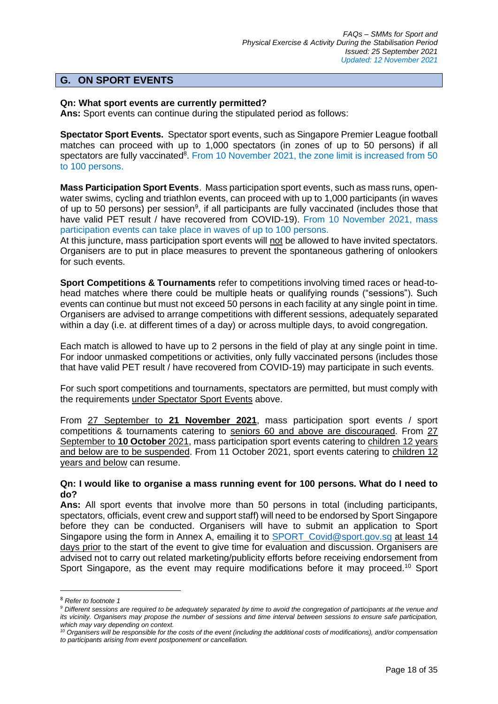# **G. ON SPORT EVENTS**

## **Qn: What sport events are currently permitted?**

**Ans:** Sport events can continue during the stipulated period as follows:

**Spectator Sport Events.** Spectator sport events, such as Singapore Premier League football matches can proceed with up to 1,000 spectators (in zones of up to 50 persons) if all spectators are fully vaccinated<sup>8</sup>. From 10 November 2021, the zone limit is increased from 50 to 100 persons.

**Mass Participation Sport Events**. Mass participation sport events, such as mass runs, openwater swims, cycling and triathlon events, can proceed with up to 1,000 participants (in waves of up to 50 persons) per session<sup>9</sup>, if all participants are fully vaccinated (includes those that have valid PET result / have recovered from COVID-19). From 10 November 2021, mass participation events can take place in waves of up to 100 persons.

At this juncture, mass participation sport events will not be allowed to have invited spectators. Organisers are to put in place measures to prevent the spontaneous gathering of onlookers for such events.

**Sport Competitions & Tournaments** refer to competitions involving timed races or head-tohead matches where there could be multiple heats or qualifying rounds ("sessions"). Such events can continue but must not exceed 50 persons in each facility at any single point in time. Organisers are advised to arrange competitions with different sessions, adequately separated within a day (i.e. at different times of a day) or across multiple days, to avoid congregation.

Each match is allowed to have up to 2 persons in the field of play at any single point in time. For indoor unmasked competitions or activities, only fully vaccinated persons (includes those that have valid PET result / have recovered from COVID-19) may participate in such events.

For such sport competitions and tournaments, spectators are permitted, but must comply with the requirements under Spectator Sport Events above.

From 27 September to **21 November 2021**, mass participation sport events / sport competitions & tournaments catering to seniors 60 and above are discouraged. From 27 September to 10 October 2021, mass participation sport events catering to children 12 years and below are to be suspended. From 11 October 2021, sport events catering to children 12 years and below can resume.

## **Qn: I would like to organise a mass running event for 100 persons. What do I need to do?**

**Ans:** All sport events that involve more than 50 persons in total (including participants, spectators, officials, event crew and support staff) will need to be endorsed by Sport Singapore before they can be conducted. Organisers will have to submit an application to Sport Singapore using the form in Annex A, emailing it to [SPORT\\_Covid@sport.gov.sg](mailto:SPORT_Covid@sport.gov.sg) at least 14 days prior to the start of the event to give time for evaluation and discussion. Organisers are advised not to carry out related marketing/publicity efforts before receiving endorsement from Sport Singapore, as the event may require modifications before it may proceed.<sup>10</sup> Sport

<sup>8</sup> *Refer to footnote 1*

*<sup>9</sup> Different sessions are required to be adequately separated by time to avoid the congregation of participants at the venue and its vicinity. Organisers may propose the number of sessions and time interval between sessions to ensure safe participation, which may vary depending on context.*

*<sup>10</sup> Organisers will be responsible for the costs of the event (including the additional costs of modifications), and/or compensation to participants arising from event postponement or cancellation.*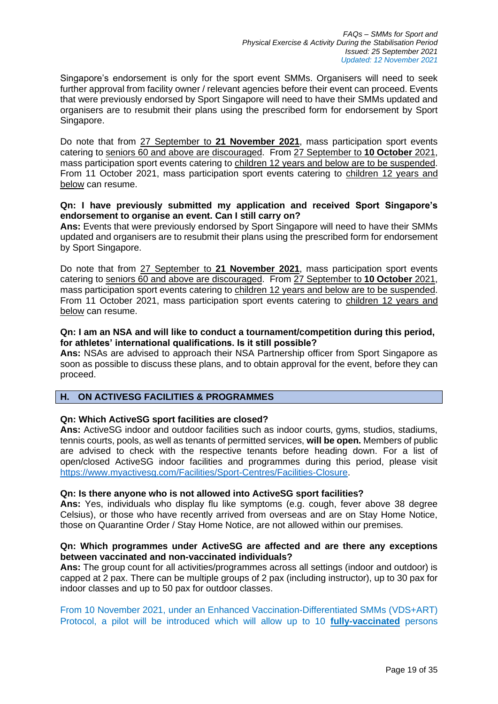Singapore's endorsement is only for the sport event SMMs. Organisers will need to seek further approval from facility owner / relevant agencies before their event can proceed. Events that were previously endorsed by Sport Singapore will need to have their SMMs updated and organisers are to resubmit their plans using the prescribed form for endorsement by Sport Singapore.

Do note that from 27 September to **21 November 2021**, mass participation sport events catering to seniors 60 and above are discouraged. From 27 September to **10 October** 2021, mass participation sport events catering to children 12 years and below are to be suspended. From 11 October 2021, mass participation sport events catering to children 12 years and below can resume.

## **Qn: I have previously submitted my application and received Sport Singapore's endorsement to organise an event. Can I still carry on?**

**Ans:** Events that were previously endorsed by Sport Singapore will need to have their SMMs updated and organisers are to resubmit their plans using the prescribed form for endorsement by Sport Singapore.

Do note that from 27 September to **21 November 2021**, mass participation sport events catering to seniors 60 and above are discouraged. From 27 September to **10 October** 2021, mass participation sport events catering to children 12 years and below are to be suspended. From 11 October 2021, mass participation sport events catering to children 12 years and below can resume.

## **Qn: I am an NSA and will like to conduct a tournament/competition during this period, for athletes' international qualifications. Is it still possible?**

**Ans:** NSAs are advised to approach their NSA Partnership officer from Sport Singapore as soon as possible to discuss these plans, and to obtain approval for the event, before they can proceed.

# **H. ON ACTIVESG FACILITIES & PROGRAMMES**

## **Qn: Which ActiveSG sport facilities are closed?**

**Ans:** ActiveSG indoor and outdoor facilities such as indoor courts, gyms, studios, stadiums, tennis courts, pools, as well as tenants of permitted services, **will be open.** Members of public are advised to check with the respective tenants before heading down. For a list of open/closed ActiveSG indoor facilities and programmes during this period, please visit [https://www.myactivesg.com/Facilities/Sport-Centres/Facilities-Closure.](https://www.myactivesg.com/Facilities/Sport-Centres/Facilities-Closure)

## **Qn: Is there anyone who is not allowed into ActiveSG sport facilities?**

**Ans:** Yes, individuals who display flu like symptoms (e.g. cough, fever above 38 degree Celsius), or those who have recently arrived from overseas and are on Stay Home Notice, those on Quarantine Order / Stay Home Notice, are not allowed within our premises.

## **Qn: Which programmes under ActiveSG are affected and are there any exceptions between vaccinated and non-vaccinated individuals?**

**Ans:** The group count for all activities/programmes across all settings (indoor and outdoor) is capped at 2 pax. There can be multiple groups of 2 pax (including instructor), up to 30 pax for indoor classes and up to 50 pax for outdoor classes.

From 10 November 2021, under an Enhanced Vaccination-Differentiated SMMs (VDS+ART) Protocol, a pilot will be introduced which will allow up to 10 **fully-vaccinated** persons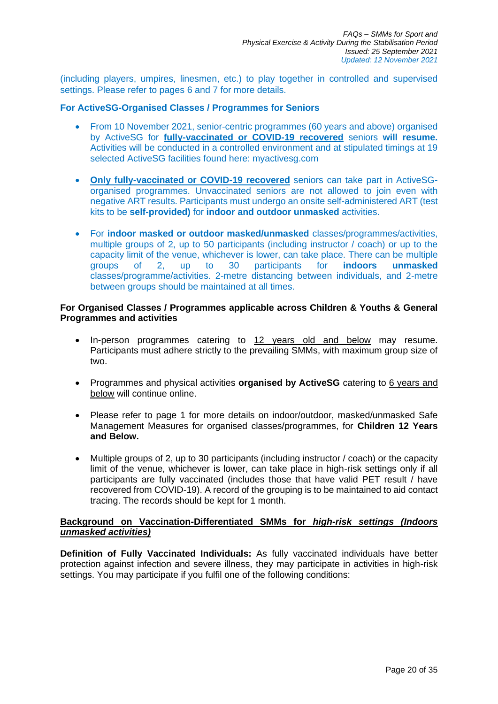(including players, umpires, linesmen, etc.) to play together in controlled and supervised settings. Please refer to pages 6 and 7 for more details.

## **For ActiveSG-Organised Classes / Programmes for Seniors**

- From 10 November 2021, senior-centric programmes (60 years and above) organised by ActiveSG for **fully-vaccinated or COVID-19 recovered** seniors **will resume.** Activities will be conducted in a controlled environment and at stipulated timings at 19 selected ActiveSG facilities found here: myactivesg.com
- **Only fully-vaccinated or COVID-19 recovered** seniors can take part in ActiveSGorganised programmes. Unvaccinated seniors are not allowed to join even with negative ART results. Participants must undergo an onsite self-administered ART (test kits to be **self-provided)** for **indoor and outdoor unmasked** activities.
- For **indoor masked or outdoor masked/unmasked** classes/programmes/activities, multiple groups of 2, up to 50 participants (including instructor / coach) or up to the capacity limit of the venue, whichever is lower, can take place. There can be multiple groups of 2, up to 30 participants for **indoors unmasked** classes/programme/activities. 2-metre distancing between individuals, and 2-metre between groups should be maintained at all times.

## **For Organised Classes / Programmes applicable across Children & Youths & General Programmes and activities**

- In-person programmes catering to 12 years old and below may resume. Participants must adhere strictly to the prevailing SMMs, with maximum group size of two.
- Programmes and physical activities **organised by ActiveSG** catering to 6 years and below will continue online.
- Please refer to page 1 for more details on indoor/outdoor, masked/unmasked Safe Management Measures for organised classes/programmes, for **Children 12 Years and Below.**
- Multiple groups of 2, up to 30 participants (including instructor / coach) or the capacity limit of the venue, whichever is lower, can take place in high-risk settings only if all participants are fully vaccinated (includes those that have valid PET result / have recovered from COVID-19). A record of the grouping is to be maintained to aid contact tracing. The records should be kept for 1 month.

## **Background on Vaccination-Differentiated SMMs for** *high-risk settings (Indoors unmasked activities)*

**Definition of Fully Vaccinated Individuals:** As fully vaccinated individuals have better protection against infection and severe illness, they may participate in activities in high-risk settings. You may participate if you fulfil one of the following conditions: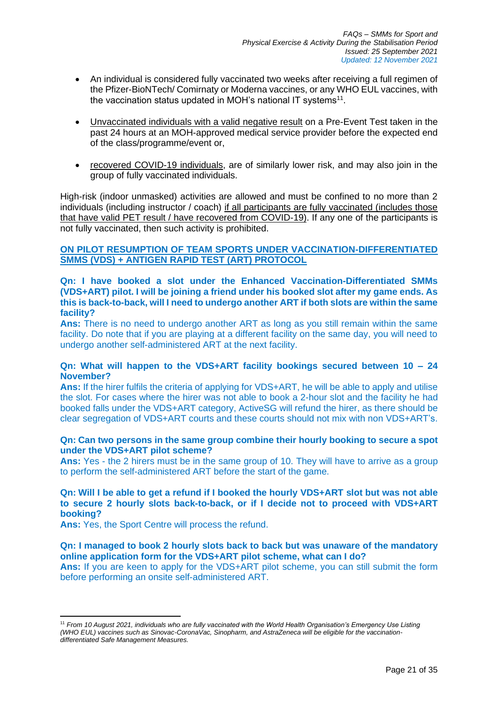- An individual is considered fully vaccinated two weeks after receiving a full regimen of the Pfizer-BioNTech/ Comirnaty or Moderna vaccines, or any WHO EUL vaccines, with the vaccination status updated in MOH's national IT systems<sup>11</sup>.
- Unvaccinated individuals with a valid negative result on a Pre-Event Test taken in the past 24 hours at an MOH-approved medical service provider before the expected end of the class/programme/event or,
- recovered COVID-19 individuals, are of similarly lower risk, and may also join in the group of fully vaccinated individuals.

High-risk (indoor unmasked) activities are allowed and must be confined to no more than 2 individuals (including instructor / coach) if all participants are fully vaccinated (includes those that have valid PET result / have recovered from COVID-19). If any one of the participants is not fully vaccinated, then such activity is prohibited.

## **ON PILOT RESUMPTION OF TEAM SPORTS UNDER VACCINATION-DIFFERENTIATED SMMS (VDS) + ANTIGEN RAPID TEST (ART) PROTOCOL**

## **Qn: I have booked a slot under the Enhanced Vaccination-Differentiated SMMs (VDS+ART) pilot. I will be joining a friend under his booked slot after my game ends. As this is back-to-back, will I need to undergo another ART if both slots are within the same facility?**

**Ans:** There is no need to undergo another ART as long as you still remain within the same facility. Do note that if you are playing at a different facility on the same day, you will need to undergo another self-administered ART at the next facility.

## **Qn: What will happen to the VDS+ART facility bookings secured between 10 – 24 November?**

**Ans:** If the hirer fulfils the criteria of applying for VDS+ART, he will be able to apply and utilise the slot. For cases where the hirer was not able to book a 2-hour slot and the facility he had booked falls under the VDS+ART category, ActiveSG will refund the hirer, as there should be clear segregation of VDS+ART courts and these courts should not mix with non VDS+ART's.

## **Qn: Can two persons in the same group combine their hourly booking to secure a spot under the VDS+ART pilot scheme?**

Ans: Yes - the 2 hirers must be in the same group of 10. They will have to arrive as a group to perform the self-administered ART before the start of the game.

## **Qn: Will I be able to get a refund if I booked the hourly VDS+ART slot but was not able to secure 2 hourly slots back-to-back, or if I decide not to proceed with VDS+ART booking?**

**Ans:** Yes, the Sport Centre will process the refund.

## **Qn: I managed to book 2 hourly slots back to back but was unaware of the mandatory online application form for the VDS+ART pilot scheme, what can I do?**

**Ans:** If you are keen to apply for the VDS+ART pilot scheme, you can still submit the form before performing an onsite self-administered ART.

<sup>11</sup> *From 10 August 2021, individuals who are fully vaccinated with the World Health Organisation's Emergency Use Listing (WHO EUL) vaccines such as Sinovac-CoronaVac, Sinopharm, and AstraZeneca will be eligible for the vaccinationdifferentiated Safe Management Measures.*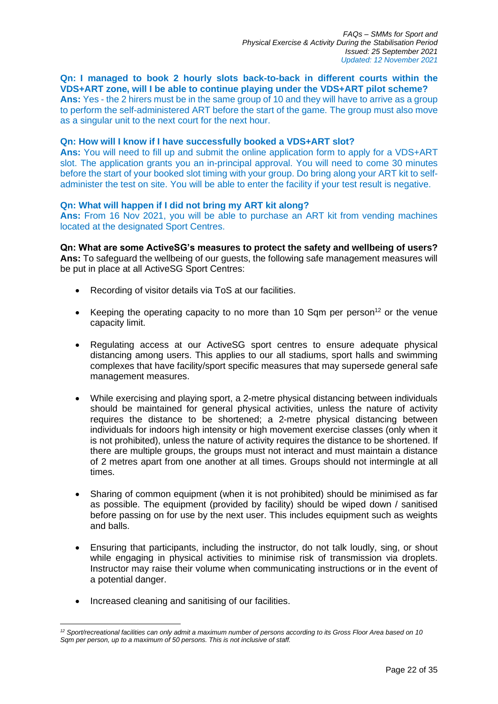**Qn: I managed to book 2 hourly slots back-to-back in different courts within the VDS+ART zone, will I be able to continue playing under the VDS+ART pilot scheme?**

**Ans:** Yes - the 2 hirers must be in the same group of 10 and they will have to arrive as a group to perform the self-administered ART before the start of the game. The group must also move as a singular unit to the next court for the next hour.

## **Qn: How will I know if I have successfully booked a VDS+ART slot?**

**Ans:** You will need to fill up and submit the online application form to apply for a VDS+ART slot. The application grants you an in-principal approval. You will need to come 30 minutes before the start of your booked slot timing with your group. Do bring along your ART kit to selfadminister the test on site. You will be able to enter the facility if your test result is negative.

## **Qn: What will happen if I did not bring my ART kit along?**

**Ans:** From 16 Nov 2021, you will be able to purchase an ART kit from vending machines located at the designated Sport Centres.

**Qn: What are some ActiveSG's measures to protect the safety and wellbeing of users? Ans:** To safeguard the wellbeing of our guests, the following safe management measures will be put in place at all ActiveSG Sport Centres:

- Recording of visitor details via ToS at our facilities.
- Keeping the operating capacity to no more than 10 Sqm per person<sup>12</sup> or the venue capacity limit.
- Regulating access at our ActiveSG sport centres to ensure adequate physical distancing among users. This applies to our all stadiums, sport halls and swimming complexes that have facility/sport specific measures that may supersede general safe management measures.
- While exercising and playing sport, a 2-metre physical distancing between individuals should be maintained for general physical activities, unless the nature of activity requires the distance to be shortened; a 2-metre physical distancing between individuals for indoors high intensity or high movement exercise classes (only when it is not prohibited), unless the nature of activity requires the distance to be shortened. If there are multiple groups, the groups must not interact and must maintain a distance of 2 metres apart from one another at all times. Groups should not intermingle at all times.
- Sharing of common equipment (when it is not prohibited) should be minimised as far as possible. The equipment (provided by facility) should be wiped down / sanitised before passing on for use by the next user. This includes equipment such as weights and balls.
- Ensuring that participants, including the instructor, do not talk loudly, sing, or shout while engaging in physical activities to minimise risk of transmission via droplets. Instructor may raise their volume when communicating instructions or in the event of a potential danger.
- Increased cleaning and sanitising of our facilities.

*<sup>12</sup> Sport/recreational facilities can only admit a maximum number of persons according to its Gross Floor Area based on 10 Sqm per person, up to a maximum of 50 persons. This is not inclusive of staff.*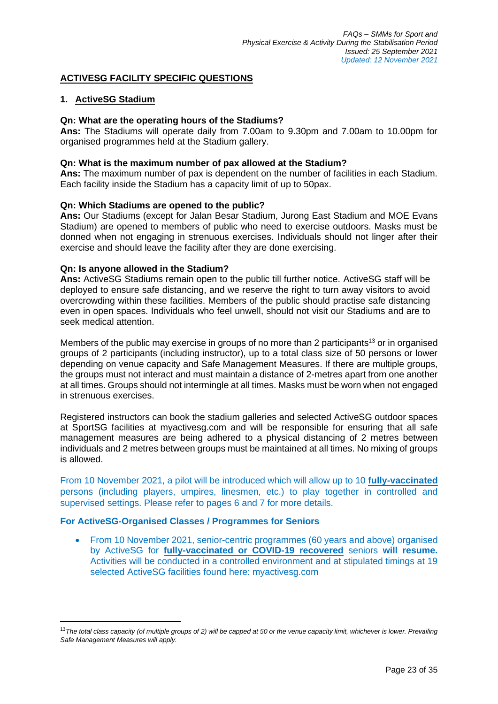# **ACTIVESG FACILITY SPECIFIC QUESTIONS**

## **1. ActiveSG Stadium**

## **Qn: What are the operating hours of the Stadiums?**

**Ans:** The Stadiums will operate daily from 7.00am to 9.30pm and 7.00am to 10.00pm for organised programmes held at the Stadium gallery.

## **Qn: What is the maximum number of pax allowed at the Stadium?**

**Ans:** The maximum number of pax is dependent on the number of facilities in each Stadium. Each facility inside the Stadium has a capacity limit of up to 50pax.

## **Qn: Which Stadiums are opened to the public?**

**Ans:** Our Stadiums (except for Jalan Besar Stadium, Jurong East Stadium and MOE Evans Stadium) are opened to members of public who need to exercise outdoors. Masks must be donned when not engaging in strenuous exercises. Individuals should not linger after their exercise and should leave the facility after they are done exercising.

## **Qn: Is anyone allowed in the Stadium?**

**Ans:** ActiveSG Stadiums remain open to the public till further notice. ActiveSG staff will be deployed to ensure safe distancing, and we reserve the right to turn away visitors to avoid overcrowding within these facilities. Members of the public should practise safe distancing even in open spaces. Individuals who feel unwell, should not visit our Stadiums and are to seek medical attention.

Members of the public may exercise in groups of no more than 2 participants<sup>13</sup> or in organised groups of 2 participants (including instructor), up to a total class size of 50 persons or lower depending on venue capacity and Safe Management Measures. If there are multiple groups, the groups must not interact and must maintain a distance of 2-metres apart from one another at all times. Groups should not intermingle at all times. Masks must be worn when not engaged in strenuous exercises.

Registered instructors can book the stadium galleries and selected ActiveSG outdoor spaces at SportSG facilities at [myactivesg.com](https://www.myactivesg.com/) and will be responsible for ensuring that all safe management measures are being adhered to a physical distancing of 2 metres between individuals and 2 metres between groups must be maintained at all times. No mixing of groups is allowed.

From 10 November 2021, a pilot will be introduced which will allow up to 10 **fully-vaccinated** persons (including players, umpires, linesmen, etc.) to play together in controlled and supervised settings. Please refer to pages 6 and 7 for more details.

# **For ActiveSG-Organised Classes / Programmes for Seniors**

• From 10 November 2021, senior-centric programmes (60 years and above) organised by ActiveSG for **fully-vaccinated or COVID-19 recovered** seniors **will resume.** Activities will be conducted in a controlled environment and at stipulated timings at 19 selected ActiveSG facilities found here: myactivesg.com

<sup>&</sup>lt;sup>13</sup> The total class capacity (of multiple groups of 2) will be capped at 50 or the venue capacity limit, whichever is lower. Prevailing *Safe Management Measures will apply.*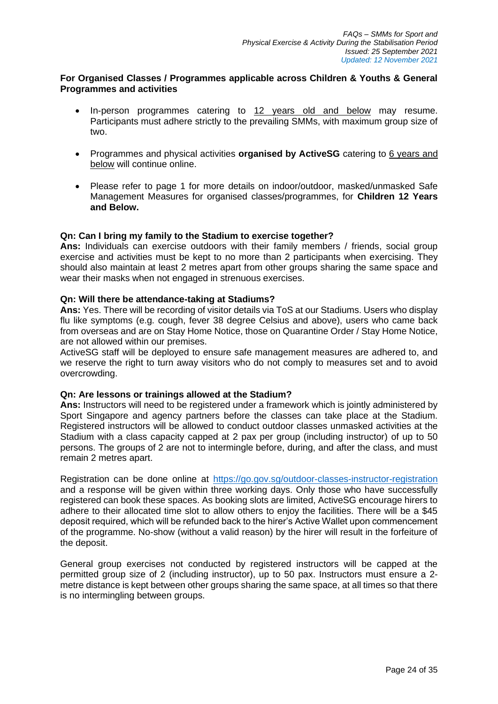# **For Organised Classes / Programmes applicable across Children & Youths & General Programmes and activities**

- In-person programmes catering to 12 years old and below may resume. Participants must adhere strictly to the prevailing SMMs, with maximum group size of two.
- Programmes and physical activities **organised by ActiveSG** catering to 6 years and below will continue online.
- Please refer to page 1 for more details on indoor/outdoor, masked/unmasked Safe Management Measures for organised classes/programmes, for **Children 12 Years and Below.**

## **Qn: Can I bring my family to the Stadium to exercise together?**

**Ans:** Individuals can exercise outdoors with their family members / friends, social group exercise and activities must be kept to no more than 2 participants when exercising. They should also maintain at least 2 metres apart from other groups sharing the same space and wear their masks when not engaged in strenuous exercises.

## **Qn: Will there be attendance-taking at Stadiums?**

**Ans:** Yes. There will be recording of visitor details via ToS at our Stadiums. Users who display flu like symptoms (e.g. cough, fever 38 degree Celsius and above), users who came back from overseas and are on Stay Home Notice, those on Quarantine Order / Stay Home Notice, are not allowed within our premises.

ActiveSG staff will be deployed to ensure safe management measures are adhered to, and we reserve the right to turn away visitors who do not comply to measures set and to avoid overcrowding.

## **Qn: Are lessons or trainings allowed at the Stadium?**

**Ans:** Instructors will need to be registered under a framework which is jointly administered by Sport Singapore and agency partners before the classes can take place at the Stadium. Registered instructors will be allowed to conduct outdoor classes unmasked activities at the Stadium with a class capacity capped at 2 pax per group (including instructor) of up to 50 persons. The groups of 2 are not to intermingle before, during, and after the class, and must remain 2 metres apart.

Registration can be done online at <https://go.gov.sg/outdoor-classes-instructor-registration> and a response will be given within three working days. Only those who have successfully registered can book these spaces. As booking slots are limited, ActiveSG encourage hirers to adhere to their allocated time slot to allow others to enjoy the facilities. There will be a \$45 deposit required, which will be refunded back to the hirer's Active Wallet upon commencement of the programme. No-show (without a valid reason) by the hirer will result in the forfeiture of the deposit.

General group exercises not conducted by registered instructors will be capped at the permitted group size of 2 (including instructor), up to 50 pax. Instructors must ensure a 2 metre distance is kept between other groups sharing the same space, at all times so that there is no intermingling between groups.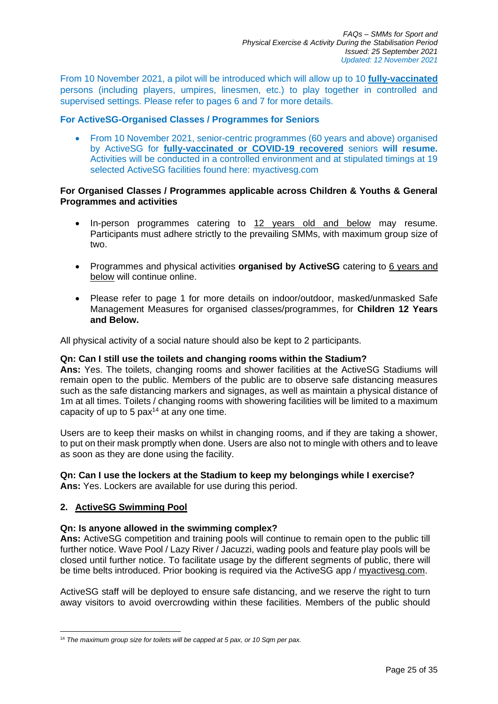From 10 November 2021, a pilot will be introduced which will allow up to 10 **fully-vaccinated** persons (including players, umpires, linesmen, etc.) to play together in controlled and supervised settings. Please refer to pages 6 and 7 for more details.

## **For ActiveSG-Organised Classes / Programmes for Seniors**

• From 10 November 2021, senior-centric programmes (60 years and above) organised by ActiveSG for **fully-vaccinated or COVID-19 recovered** seniors **will resume.** Activities will be conducted in a controlled environment and at stipulated timings at 19 selected ActiveSG facilities found here: myactivesg.com

## **For Organised Classes / Programmes applicable across Children & Youths & General Programmes and activities**

- In-person programmes catering to 12 years old and below may resume. Participants must adhere strictly to the prevailing SMMs, with maximum group size of two.
- Programmes and physical activities **organised by ActiveSG** catering to 6 years and below will continue online.
- Please refer to page 1 for more details on indoor/outdoor, masked/unmasked Safe Management Measures for organised classes/programmes, for **Children 12 Years and Below.**

All physical activity of a social nature should also be kept to 2 participants.

## **Qn: Can I still use the toilets and changing rooms within the Stadium?**

**Ans:** Yes. The toilets, changing rooms and shower facilities at the ActiveSG Stadiums will remain open to the public. Members of the public are to observe safe distancing measures such as the safe distancing markers and signages, as well as maintain a physical distance of 1m at all times. Toilets / changing rooms with showering facilities will be limited to a maximum capacity of up to 5  $\text{pax}^{14}$  at any one time.

Users are to keep their masks on whilst in changing rooms, and if they are taking a shower, to put on their mask promptly when done. Users are also not to mingle with others and to leave as soon as they are done using the facility.

# **Qn: Can I use the lockers at the Stadium to keep my belongings while I exercise?**

**Ans:** Yes. Lockers are available for use during this period.

# **2. ActiveSG Swimming Pool**

## **Qn: Is anyone allowed in the swimming complex?**

**Ans:** ActiveSG competition and training pools will continue to remain open to the public till further notice. Wave Pool / Lazy River / Jacuzzi, wading pools and feature play pools will be closed until further notice. To facilitate usage by the different segments of public, there will be time belts introduced. Prior booking is required via the ActiveSG app / [myactivesg.com.](https://www.myactivesg.com/)

ActiveSG staff will be deployed to ensure safe distancing, and we reserve the right to turn away visitors to avoid overcrowding within these facilities. Members of the public should

<sup>14</sup> *The maximum group size for toilets will be capped at 5 pax, or 10 Sqm per pax.*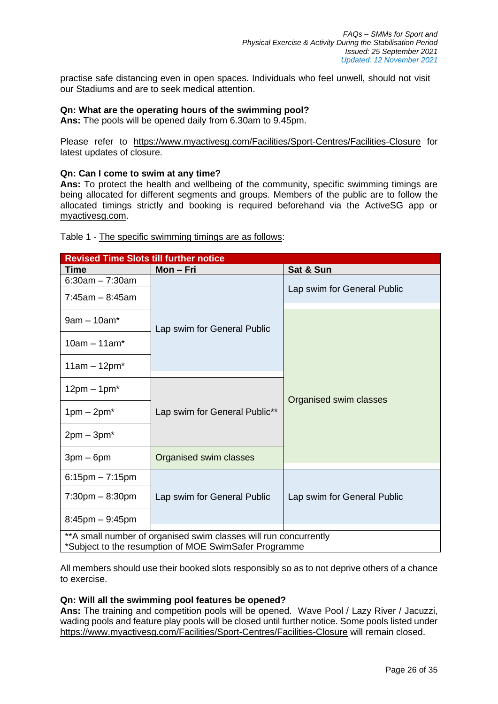practise safe distancing even in open spaces. Individuals who feel unwell, should not visit our Stadiums and are to seek medical attention.

## **Qn: What are the operating hours of the swimming pool?**

**Ans:** The pools will be opened daily from 6.30am to 9.45pm.

Please refer to <https://www.myactivesg.com/Facilities/Sport-Centres/Facilities-Closure> for latest updates of closure.

## **Qn: Can I come to swim at any time?**

**Ans:** To protect the health and wellbeing of the community, specific swimming timings are being allocated for different segments and groups. Members of the public are to follow the allocated timings strictly and booking is required beforehand via the ActiveSG app or [myactivesg.com.](https://www.myactivesg.com/)

Table 1 - The specific swimming timings are as follows:

| <b>Revised Time Slots till further notice</b>                                                                              |                               |                             |  |  |  |  |
|----------------------------------------------------------------------------------------------------------------------------|-------------------------------|-----------------------------|--|--|--|--|
| <b>Time</b>                                                                                                                | Mon-Fri                       | Sat & Sun                   |  |  |  |  |
| $6:30am - 7:30am$<br>$7:45am - 8:45am$                                                                                     |                               | Lap swim for General Public |  |  |  |  |
| $9am - 10am^*$                                                                                                             | Lap swim for General Public   |                             |  |  |  |  |
| $10am - 11am*$                                                                                                             |                               |                             |  |  |  |  |
| $11am - 12pm^*$                                                                                                            |                               |                             |  |  |  |  |
| $12pm - 1pm^*$                                                                                                             |                               | Organised swim classes      |  |  |  |  |
| $1pm - 2pm^*$                                                                                                              | Lap swim for General Public** |                             |  |  |  |  |
| $2pm - 3pm^*$                                                                                                              |                               |                             |  |  |  |  |
| $3pm-6pm$                                                                                                                  | Organised swim classes        |                             |  |  |  |  |
| $6:15$ pm $-7:15$ pm                                                                                                       |                               |                             |  |  |  |  |
| $7:30 \text{pm} - 8:30 \text{pm}$                                                                                          | Lap swim for General Public   | Lap swim for General Public |  |  |  |  |
| $8:45$ pm $-9:45$ pm                                                                                                       |                               |                             |  |  |  |  |
| ** A small number of organised swim classes will run concurrently<br>*Subject to the resumption of MOE SwimSafer Programme |                               |                             |  |  |  |  |

All members should use their booked slots responsibly so as to not deprive others of a chance to exercise.

## **Qn: Will all the swimming pool features be opened?**

**Ans:** The training and competition pools will be opened. Wave Pool / Lazy River / Jacuzzi, wading pools and feature play pools will be closed until further notice. Some pools listed under <https://www.myactivesg.com/Facilities/Sport-Centres/Facilities-Closure> will remain closed.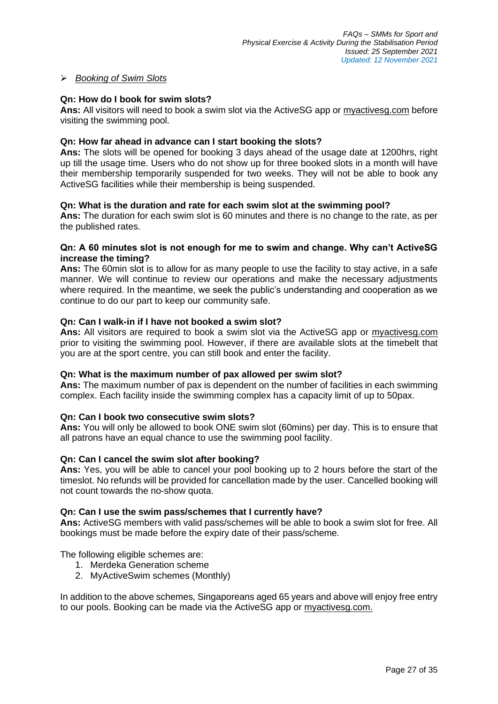# ➢ *Booking of Swim Slots*

# **Qn: How do I book for swim slots?**

**Ans:** All visitors will need to book a swim slot via the ActiveSG app or [myactivesg.com](https://www.myactivesg.com/) before visiting the swimming pool.

## **Qn: How far ahead in advance can I start booking the slots?**

**Ans:** The slots will be opened for booking 3 days ahead of the usage date at 1200hrs, right up till the usage time. Users who do not show up for three booked slots in a month will have their membership temporarily suspended for two weeks. They will not be able to book any ActiveSG facilities while their membership is being suspended.

## **Qn: What is the duration and rate for each swim slot at the swimming pool?**

**Ans:** The duration for each swim slot is 60 minutes and there is no change to the rate, as per the published rates.

## **Qn: A 60 minutes slot is not enough for me to swim and change. Why can't ActiveSG increase the timing?**

**Ans:** The 60min slot is to allow for as many people to use the facility to stay active, in a safe manner. We will continue to review our operations and make the necessary adjustments where required. In the meantime, we seek the public's understanding and cooperation as we continue to do our part to keep our community safe.

## **Qn: Can I walk-in if I have not booked a swim slot?**

**Ans:** All visitors are required to book a swim slot via the ActiveSG app or [myactivesg.com](https://www.myactivesg.com/) prior to visiting the swimming pool. However, if there are available slots at the timebelt that you are at the sport centre, you can still book and enter the facility.

## **Qn: What is the maximum number of pax allowed per swim slot?**

**Ans:** The maximum number of pax is dependent on the number of facilities in each swimming complex. Each facility inside the swimming complex has a capacity limit of up to 50pax.

## **Qn: Can I book two consecutive swim slots?**

**Ans:** You will only be allowed to book ONE swim slot (60mins) per day. This is to ensure that all patrons have an equal chance to use the swimming pool facility.

## **Qn: Can I cancel the swim slot after booking?**

**Ans:** Yes, you will be able to cancel your pool booking up to 2 hours before the start of the timeslot. No refunds will be provided for cancellation made by the user. Cancelled booking will not count towards the no-show quota.

## **Qn: Can I use the swim pass/schemes that I currently have?**

**Ans:** ActiveSG members with valid pass/schemes will be able to book a swim slot for free. All bookings must be made before the expiry date of their pass/scheme.

The following eligible schemes are:

- 1. Merdeka Generation scheme
- 2. MyActiveSwim schemes (Monthly)

In addition to the above schemes, Singaporeans aged 65 years and above will enjoy free entry to our pools. Booking can be made via the ActiveSG app or [myactivesg.com.](https://www.myactivesg.com/)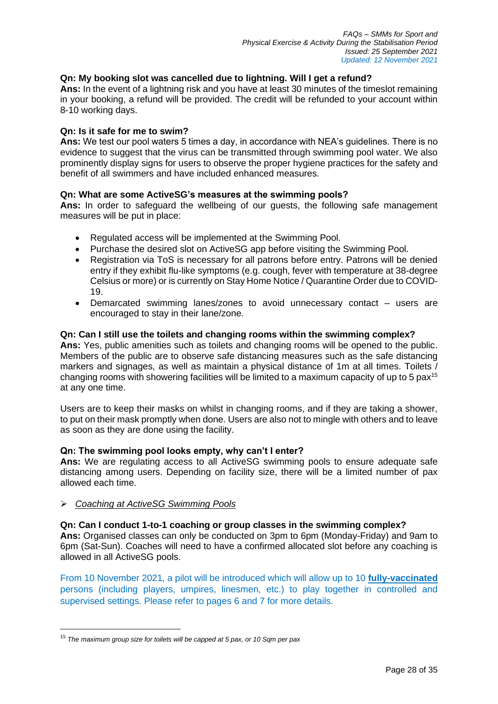# **Qn: My booking slot was cancelled due to lightning. Will I get a refund?**

**Ans:** In the event of a lightning risk and you have at least 30 minutes of the timeslot remaining in your booking, a refund will be provided. The credit will be refunded to your account within 8-10 working days.

## **Qn: Is it safe for me to swim?**

**Ans:** We test our pool waters 5 times a day, in accordance with NEA's guidelines. There is no evidence to suggest that the virus can be transmitted through swimming pool water. We also prominently display signs for users to observe the proper hygiene practices for the safety and benefit of all swimmers and have included enhanced measures.

## **Qn: What are some ActiveSG's measures at the swimming pools?**

**Ans:** In order to safeguard the wellbeing of our guests, the following safe management measures will be put in place:

- Regulated access will be implemented at the Swimming Pool.
- Purchase the desired slot on ActiveSG app before visiting the Swimming Pool.
- Registration via ToS is necessary for all patrons before entry. Patrons will be denied entry if they exhibit flu-like symptoms (e.g. cough, fever with temperature at 38-degree Celsius or more) or is currently on Stay Home Notice / Quarantine Order due to COVID-19.
- Demarcated swimming lanes/zones to avoid unnecessary contact users are encouraged to stay in their lane/zone.

## **Qn: Can I still use the toilets and changing rooms within the swimming complex?**

**Ans:** Yes, public amenities such as toilets and changing rooms will be opened to the public. Members of the public are to observe safe distancing measures such as the safe distancing markers and signages, as well as maintain a physical distance of 1m at all times. Toilets / changing rooms with showering facilities will be limited to a maximum capacity of up to 5 pax<sup>15</sup> at any one time.

Users are to keep their masks on whilst in changing rooms, and if they are taking a shower, to put on their mask promptly when done. Users are also not to mingle with others and to leave as soon as they are done using the facility.

## **Qn: The swimming pool looks empty, why can't I enter?**

**Ans:** We are regulating access to all ActiveSG swimming pools to ensure adequate safe distancing among users. Depending on facility size, there will be a limited number of pax allowed each time.

## ➢ *Coaching at ActiveSG Swimming Pools*

#### **Qn: Can I conduct 1-to-1 coaching or group classes in the swimming complex?**

**Ans:** Organised classes can only be conducted on 3pm to 6pm (Monday-Friday) and 9am to 6pm (Sat-Sun). Coaches will need to have a confirmed allocated slot before any coaching is allowed in all ActiveSG pools.

From 10 November 2021, a pilot will be introduced which will allow up to 10 **fully-vaccinated** persons (including players, umpires, linesmen, etc.) to play together in controlled and supervised settings. Please refer to pages 6 and 7 for more details.

<sup>15</sup> *The maximum group size for toilets will be capped at 5 pax, or 10 Sqm per pax*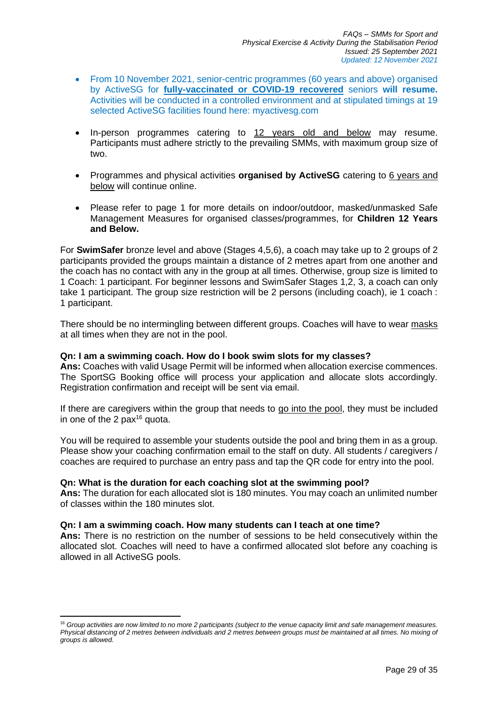- From 10 November 2021, senior-centric programmes (60 years and above) organised by ActiveSG for **fully-vaccinated or COVID-19 recovered** seniors **will resume.** Activities will be conducted in a controlled environment and at stipulated timings at 19 selected ActiveSG facilities found here: myactivesg.com
- In-person programmes catering to 12 years old and below may resume. Participants must adhere strictly to the prevailing SMMs, with maximum group size of two.
- Programmes and physical activities **organised by ActiveSG** catering to 6 years and below will continue online.
- Please refer to page 1 for more details on indoor/outdoor, masked/unmasked Safe Management Measures for organised classes/programmes, for **Children 12 Years and Below.**

For **SwimSafer** bronze level and above (Stages 4,5,6), a coach may take up to 2 groups of 2 participants provided the groups maintain a distance of 2 metres apart from one another and the coach has no contact with any in the group at all times. Otherwise, group size is limited to 1 Coach: 1 participant. For beginner lessons and SwimSafer Stages 1,2, 3, a coach can only take 1 participant. The group size restriction will be 2 persons (including coach), ie 1 coach : 1 participant.

There should be no intermingling between different groups. Coaches will have to wear masks at all times when they are not in the pool.

## **Qn: I am a swimming coach. How do I book swim slots for my classes?**

**Ans:** Coaches with valid Usage Permit will be informed when allocation exercise commences. The SportSG Booking office will process your application and allocate slots accordingly. Registration confirmation and receipt will be sent via email.

If there are caregivers within the group that needs to go into the pool, they must be included in one of the 2  $pax^{16}$  quota.

You will be required to assemble your students outside the pool and bring them in as a group. Please show your coaching confirmation email to the staff on duty. All students / caregivers / coaches are required to purchase an entry pass and tap the QR code for entry into the pool.

## **Qn: What is the duration for each coaching slot at the swimming pool?**

**Ans:** The duration for each allocated slot is 180 minutes. You may coach an unlimited number of classes within the 180 minutes slot.

## **Qn: I am a swimming coach. How many students can I teach at one time?**

**Ans:** There is no restriction on the number of sessions to be held consecutively within the allocated slot. Coaches will need to have a confirmed allocated slot before any coaching is allowed in all ActiveSG pools.

<sup>16</sup> *Group activities are now limited to no more 2 participants (subject to the venue capacity limit and safe management measures. Physical distancing of 2 metres between individuals and 2 metres between groups must be maintained at all times. No mixing of groups is allowed.*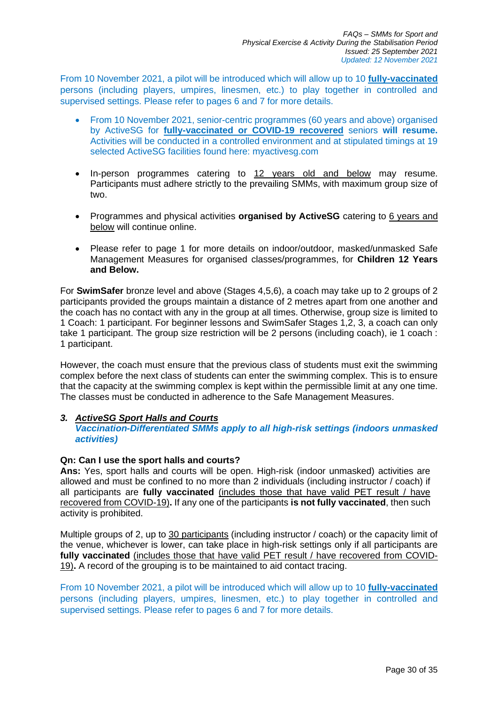From 10 November 2021, a pilot will be introduced which will allow up to 10 **fully-vaccinated** persons (including players, umpires, linesmen, etc.) to play together in controlled and supervised settings. Please refer to pages 6 and 7 for more details.

- From 10 November 2021, senior-centric programmes (60 years and above) organised by ActiveSG for **fully-vaccinated or COVID-19 recovered** seniors **will resume.** Activities will be conducted in a controlled environment and at stipulated timings at 19 selected ActiveSG facilities found here: myactivesg.com
- In-person programmes catering to 12 years old and below may resume. Participants must adhere strictly to the prevailing SMMs, with maximum group size of two.
- Programmes and physical activities **organised by ActiveSG** catering to 6 years and below will continue online.
- Please refer to page 1 for more details on indoor/outdoor, masked/unmasked Safe Management Measures for organised classes/programmes, for **Children 12 Years and Below.**

For **SwimSafer** bronze level and above (Stages 4,5,6), a coach may take up to 2 groups of 2 participants provided the groups maintain a distance of 2 metres apart from one another and the coach has no contact with any in the group at all times. Otherwise, group size is limited to 1 Coach: 1 participant. For beginner lessons and SwimSafer Stages 1,2, 3, a coach can only take 1 participant. The group size restriction will be 2 persons (including coach), ie 1 coach : 1 participant.

However, the coach must ensure that the previous class of students must exit the swimming complex before the next class of students can enter the swimming complex. This is to ensure that the capacity at the swimming complex is kept within the permissible limit at any one time. The classes must be conducted in adherence to the Safe Management Measures.

# *3. ActiveSG Sport Halls and Courts*

*Vaccination-Differentiated SMMs apply to all high-risk settings (indoors unmasked activities)* 

# **Qn: Can I use the sport halls and courts?**

**Ans:** Yes, sport halls and courts will be open. High-risk (indoor unmasked) activities are allowed and must be confined to no more than 2 individuals (including instructor / coach) if all participants are **fully vaccinated** (includes those that have valid PET result / have recovered from COVID-19)**.** If any one of the participants **is not fully vaccinated**, then such activity is prohibited.

Multiple groups of 2, up to 30 participants (including instructor / coach) or the capacity limit of the venue, whichever is lower, can take place in high-risk settings only if all participants are **fully vaccinated** (includes those that have valid PET result / have recovered from COVID-19)**.** A record of the grouping is to be maintained to aid contact tracing.

From 10 November 2021, a pilot will be introduced which will allow up to 10 **fully-vaccinated** persons (including players, umpires, linesmen, etc.) to play together in controlled and supervised settings. Please refer to pages 6 and 7 for more details.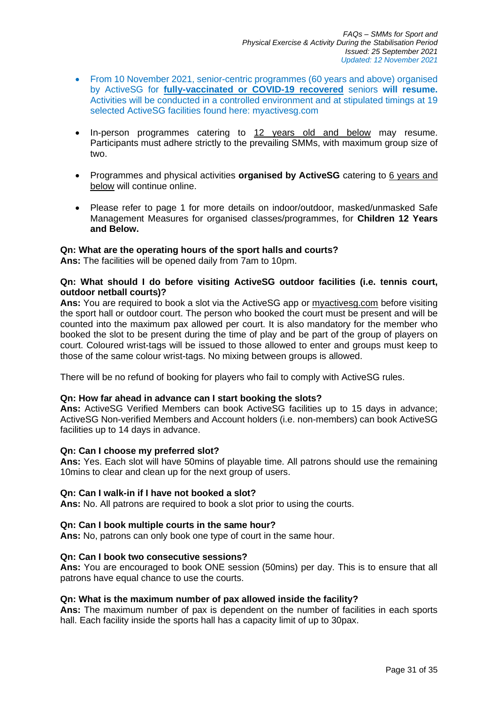- From 10 November 2021, senior-centric programmes (60 years and above) organised by ActiveSG for **fully-vaccinated or COVID-19 recovered** seniors **will resume.** Activities will be conducted in a controlled environment and at stipulated timings at 19 selected ActiveSG facilities found here: myactivesg.com
- In-person programmes catering to 12 years old and below may resume. Participants must adhere strictly to the prevailing SMMs, with maximum group size of two.
- Programmes and physical activities **organised by ActiveSG** catering to 6 years and below will continue online.
- Please refer to page 1 for more details on indoor/outdoor, masked/unmasked Safe Management Measures for organised classes/programmes, for **Children 12 Years and Below.**

## **Qn: What are the operating hours of the sport halls and courts?**

**Ans:** The facilities will be opened daily from 7am to 10pm.

## **Qn: What should I do before visiting ActiveSG outdoor facilities (i.e. tennis court, outdoor netball courts)?**

**Ans:** You are required to book a slot via the ActiveSG app or [myactivesg.com](https://www.myactivesg.com/) before visiting the sport hall or outdoor court. The person who booked the court must be present and will be counted into the maximum pax allowed per court. It is also mandatory for the member who booked the slot to be present during the time of play and be part of the group of players on court. Coloured wrist-tags will be issued to those allowed to enter and groups must keep to those of the same colour wrist-tags. No mixing between groups is allowed.

There will be no refund of booking for players who fail to comply with ActiveSG rules.

## **Qn: How far ahead in advance can I start booking the slots?**

**Ans:** ActiveSG Verified Members can book ActiveSG facilities up to 15 days in advance; ActiveSG Non-verified Members and Account holders (i.e. non-members) can book ActiveSG facilities up to 14 days in advance.

## **Qn: Can I choose my preferred slot?**

**Ans:** Yes. Each slot will have 50mins of playable time. All patrons should use the remaining 10mins to clear and clean up for the next group of users.

## **Qn: Can I walk-in if I have not booked a slot?**

**Ans:** No. All patrons are required to book a slot prior to using the courts.

## **Qn: Can I book multiple courts in the same hour?**

**Ans:** No, patrons can only book one type of court in the same hour.

## **Qn: Can I book two consecutive sessions?**

**Ans:** You are encouraged to book ONE session (50mins) per day. This is to ensure that all patrons have equal chance to use the courts.

## **Qn: What is the maximum number of pax allowed inside the facility?**

**Ans:** The maximum number of pax is dependent on the number of facilities in each sports hall. Each facility inside the sports hall has a capacity limit of up to 30pax.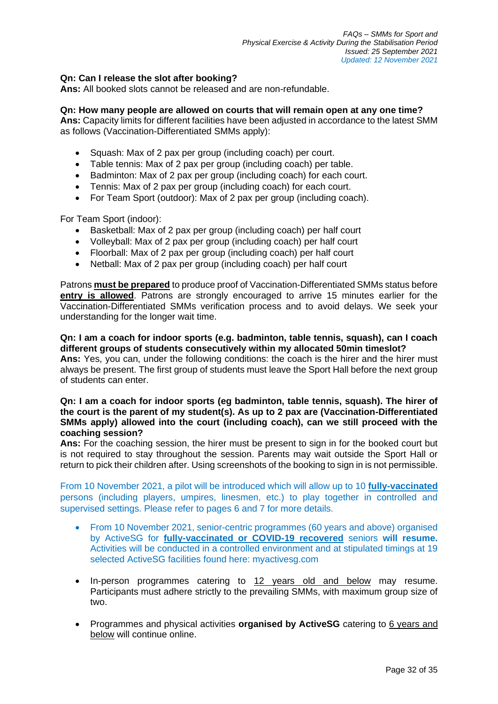# **Qn: Can I release the slot after booking?**

**Ans:** All booked slots cannot be released and are non-refundable.

## **Qn: How many people are allowed on courts that will remain open at any one time?**

**Ans:** Capacity limits for different facilities have been adjusted in accordance to the latest SMM as follows (Vaccination-Differentiated SMMs apply):

- Squash: Max of 2 pax per group (including coach) per court.
- Table tennis: Max of 2 pax per group (including coach) per table.
- Badminton: Max of 2 pax per group (including coach) for each court.
- Tennis: Max of 2 pax per group (including coach) for each court.
- For Team Sport (outdoor): Max of 2 pax per group (including coach).

For Team Sport (indoor):

- Basketball: Max of 2 pax per group (including coach) per half court
- Volleyball: Max of 2 pax per group (including coach) per half court
- Floorball: Max of 2 pax per group (including coach) per half court
- Netball: Max of 2 pax per group (including coach) per half court

Patrons **must be prepared** to produce proof of Vaccination-Differentiated SMMs status before **entry is allowed**. Patrons are strongly encouraged to arrive 15 minutes earlier for the Vaccination-Differentiated SMMs verification process and to avoid delays. We seek your understanding for the longer wait time.

## **Qn: I am a coach for indoor sports (e.g. badminton, table tennis, squash), can I coach different groups of students consecutively within my allocated 50min timeslot?**

**Ans:** Yes, you can, under the following conditions: the coach is the hirer and the hirer must always be present. The first group of students must leave the Sport Hall before the next group of students can enter.

## **Qn: I am a coach for indoor sports (eg badminton, table tennis, squash). The hirer of the court is the parent of my student(s). As up to 2 pax are (Vaccination-Differentiated SMMs apply) allowed into the court (including coach), can we still proceed with the coaching session?**

**Ans:** For the coaching session, the hirer must be present to sign in for the booked court but is not required to stay throughout the session. Parents may wait outside the Sport Hall or return to pick their children after. Using screenshots of the booking to sign in is not permissible.

From 10 November 2021, a pilot will be introduced which will allow up to 10 **fully-vaccinated** persons (including players, umpires, linesmen, etc.) to play together in controlled and supervised settings. Please refer to pages 6 and 7 for more details.

- From 10 November 2021, senior-centric programmes (60 years and above) organised by ActiveSG for **fully-vaccinated or COVID-19 recovered** seniors **will resume.** Activities will be conducted in a controlled environment and at stipulated timings at 19 selected ActiveSG facilities found here: myactivesg.com
- In-person programmes catering to 12 years old and below may resume. Participants must adhere strictly to the prevailing SMMs, with maximum group size of two.
- Programmes and physical activities **organised by ActiveSG** catering to 6 years and below will continue online.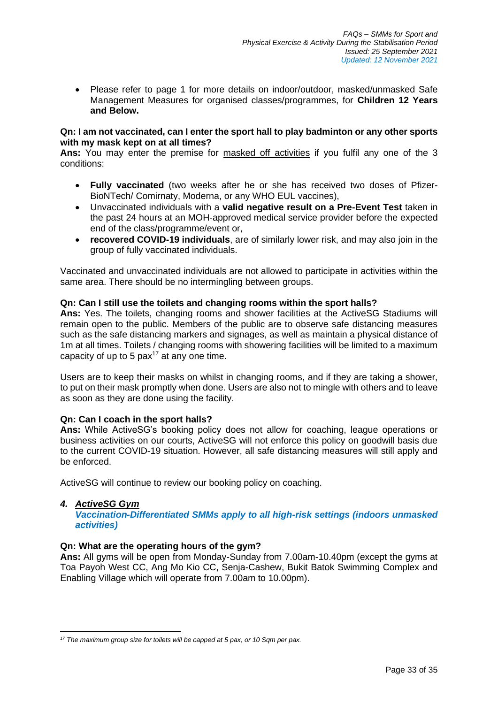• Please refer to page 1 for more details on indoor/outdoor, masked/unmasked Safe Management Measures for organised classes/programmes, for **Children 12 Years and Below.**

## **Qn: I am not vaccinated, can I enter the sport hall to play badminton or any other sports with my mask kept on at all times?**

**Ans:** You may enter the premise for masked off activities if you fulfil any one of the 3 conditions:

- **Fully vaccinated** (two weeks after he or she has received two doses of Pfizer-BioNTech/ Comirnaty, Moderna, or any WHO EUL vaccines),
- Unvaccinated individuals with a **valid negative result on a Pre-Event Test** taken in the past 24 hours at an MOH-approved medical service provider before the expected end of the class/programme/event or,
- **recovered COVID-19 individuals**, are of similarly lower risk, and may also join in the group of fully vaccinated individuals.

Vaccinated and unvaccinated individuals are not allowed to participate in activities within the same area. There should be no intermingling between groups.

# **Qn: Can I still use the toilets and changing rooms within the sport halls?**

**Ans:** Yes. The toilets, changing rooms and shower facilities at the ActiveSG Stadiums will remain open to the public. Members of the public are to observe safe distancing measures such as the safe distancing markers and signages, as well as maintain a physical distance of 1m at all times. Toilets / changing rooms with showering facilities will be limited to a maximum capacity of up to 5  $\text{pax}^{17}$  at any one time.

Users are to keep their masks on whilst in changing rooms, and if they are taking a shower, to put on their mask promptly when done. Users are also not to mingle with others and to leave as soon as they are done using the facility.

## **Qn: Can I coach in the sport halls?**

**Ans:** While ActiveSG's booking policy does not allow for coaching, league operations or business activities on our courts, ActiveSG will not enforce this policy on goodwill basis due to the current COVID-19 situation. However, all safe distancing measures will still apply and be enforced.

ActiveSG will continue to review our booking policy on coaching.

## *4. ActiveSG Gym*

*Vaccination-Differentiated SMMs apply to all high-risk settings (indoors unmasked activities)* 

## **Qn: What are the operating hours of the gym?**

**Ans:** All gyms will be open from Monday-Sunday from 7.00am-10.40pm (except the gyms at Toa Payoh West CC, Ang Mo Kio CC, Senja-Cashew, Bukit Batok Swimming Complex and Enabling Village which will operate from 7.00am to 10.00pm).

*<sup>17</sup> The maximum group size for toilets will be capped at 5 pax, or 10 Sqm per pax.*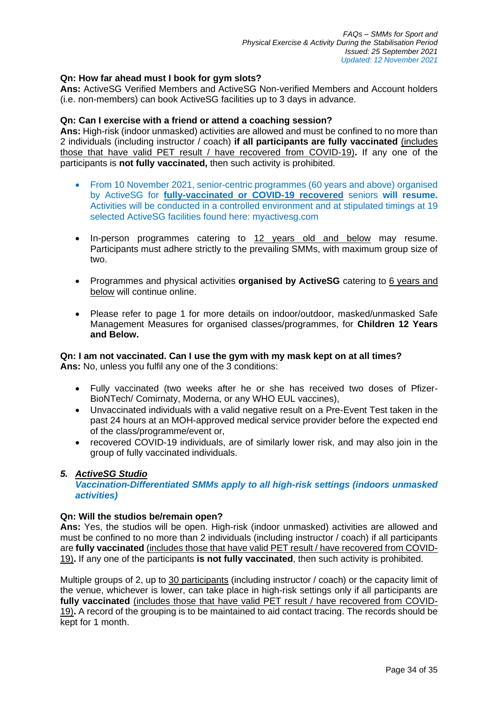# **Qn: How far ahead must I book for gym slots?**

**Ans:** ActiveSG Verified Members and ActiveSG Non-verified Members and Account holders (i.e. non-members) can book ActiveSG facilities up to 3 days in advance.

#### **Qn: Can I exercise with a friend or attend a coaching session?**

**Ans:** High-risk (indoor unmasked) activities are allowed and must be confined to no more than 2 individuals (including instructor / coach) **if all participants are fully vaccinated** (includes those that have valid PET result / have recovered from COVID-19)**.** If any one of the participants is **not fully vaccinated,** then such activity is prohibited.

- From 10 November 2021, senior-centric programmes (60 years and above) organised by ActiveSG for **fully-vaccinated or COVID-19 recovered** seniors **will resume.** Activities will be conducted in a controlled environment and at stipulated timings at 19 selected ActiveSG facilities found here: myactivesg.com
- In-person programmes catering to 12 years old and below may resume. Participants must adhere strictly to the prevailing SMMs, with maximum group size of two.
- Programmes and physical activities **organised by ActiveSG** catering to 6 years and below will continue online.
- Please refer to page 1 for more details on indoor/outdoor, masked/unmasked Safe Management Measures for organised classes/programmes, for **Children 12 Years and Below.**

# **Qn: I am not vaccinated. Can I use the gym with my mask kept on at all times?**

**Ans:** No, unless you fulfil any one of the 3 conditions:

- Fully vaccinated (two weeks after he or she has received two doses of Pfizer-BioNTech/ Comirnaty, Moderna, or any WHO EUL vaccines),
- Unvaccinated individuals with a valid negative result on a Pre-Event Test taken in the past 24 hours at an MOH-approved medical service provider before the expected end of the class/programme/event or,
- recovered COVID-19 individuals, are of similarly lower risk, and may also join in the group of fully vaccinated individuals.

## *5. ActiveSG Studio*

*Vaccination-Differentiated SMMs apply to all high-risk settings (indoors unmasked activities)* 

## **Qn: Will the studios be/remain open?**

**Ans:** Yes, the studios will be open. High-risk (indoor unmasked) activities are allowed and must be confined to no more than 2 individuals (including instructor / coach) if all participants are **fully vaccinated** (includes those that have valid PET result / have recovered from COVID-19)**.** If any one of the participants **is not fully vaccinated**, then such activity is prohibited.

Multiple groups of 2, up to 30 participants (including instructor / coach) or the capacity limit of the venue, whichever is lower, can take place in high-risk settings only if all participants are **fully vaccinated** (includes those that have valid PET result / have recovered from COVID-19)**.** A record of the grouping is to be maintained to aid contact tracing. The records should be kept for 1 month.